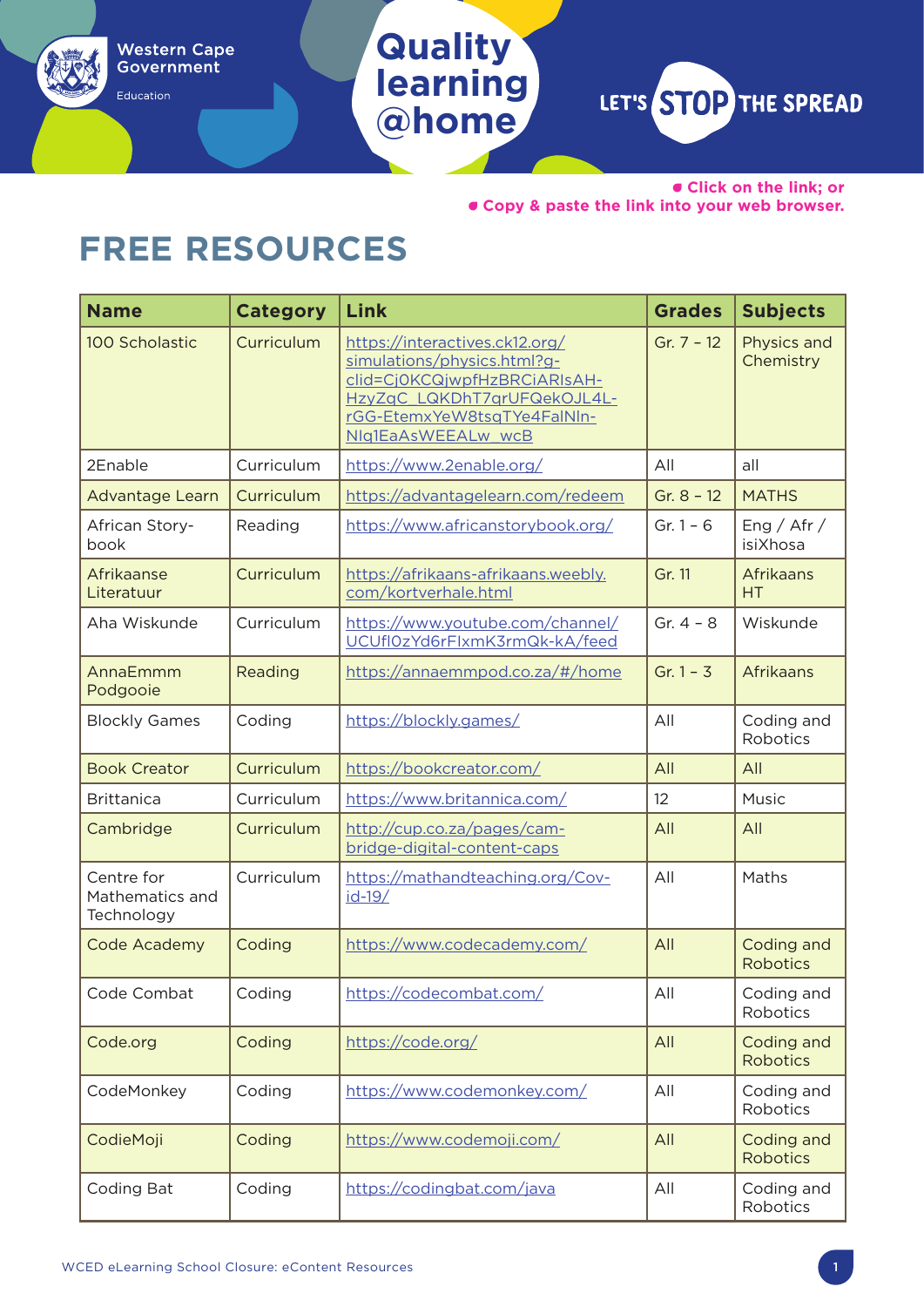Education

**@home**

**Quality** 

**learning**

LET'S STOP THE SPREAD

• **Click on the link; or**  • **Copy & paste the link into your web browser.**

## **FREE RESOURCES**

| <b>Name</b>                                 | <b>Category</b> | Link                                                                                                                                                                              | <b>Grades</b> | <b>Subjects</b>               |
|---------------------------------------------|-----------------|-----------------------------------------------------------------------------------------------------------------------------------------------------------------------------------|---------------|-------------------------------|
| 100 Scholastic                              | Curriculum      | https://interactives.ck12.org/<br>simulations/physics.html?g-<br>clid=Cj0KCQjwpfHzBRCiARIsAH-<br>HzyZqC LQKDhT7qrUFQekOJL4L-<br>rGG-EtemxYeW8tsqTYe4FalNIn-<br>NIq1EaAsWEEALw_wcB | Gr. $7 - 12$  | Physics and<br>Chemistry      |
| 2Enable                                     | Curriculum      | https://www.2enable.org/                                                                                                                                                          | All           | all                           |
| Advantage Learn                             | Curriculum      | https://advantagelearn.com/redeem                                                                                                                                                 | Gr. $8 - 12$  | <b>MATHS</b>                  |
| African Story-<br>book                      | Reading         | https://www.africanstorybook.org/                                                                                                                                                 | Gr. $1 - 6$   | Eng / Afr /<br>isiXhosa       |
| Afrikaanse<br>Literatuur                    | Curriculum      | https://afrikaans-afrikaans.weebly.<br>com/kortverhale.html                                                                                                                       | Gr. 11        | Afrikaans<br>HT               |
| Aha Wiskunde                                | Curriculum      | https://www.youtube.com/channel/<br>UCUfl0zYd6rFlxmK3rmQk-kA/feed                                                                                                                 | Gr. $4 - 8$   | Wiskunde                      |
| AnnaEmmm<br>Podgooie                        | Reading         | https://annaemmpod.co.za/#/home                                                                                                                                                   | Gr. $1 - 3$   | Afrikaans                     |
| <b>Blockly Games</b>                        | Coding          | https://blockly.games/                                                                                                                                                            | All           | Coding and<br>Robotics        |
| <b>Book Creator</b>                         | Curriculum      | https://bookcreator.com/                                                                                                                                                          | All           | All                           |
| <b>Brittanica</b>                           | Curriculum      | https://www.britannica.com/                                                                                                                                                       | 12            | Music                         |
| Cambridge                                   | Curriculum      | http://cup.co.za/pages/cam-<br>bridge-digital-content-caps                                                                                                                        | All           | All                           |
| Centre for<br>Mathematics and<br>Technology | Curriculum      | https://mathandteaching.org/Cov-<br>$id-19/$                                                                                                                                      | All           | Maths                         |
| Code Academy                                | Coding          | https://www.codecademy.com/                                                                                                                                                       | All           | Coding and<br><b>Robotics</b> |
| Code Combat                                 | Coding          | https://codecombat.com/                                                                                                                                                           | All           | Coding and<br>Robotics        |
| Code.org                                    | Coding          | https://code.org/                                                                                                                                                                 | All           | Coding and<br><b>Robotics</b> |
| CodeMonkey                                  | Coding          | https://www.codemonkey.com/                                                                                                                                                       | All           | Coding and<br>Robotics        |
| CodieMoji                                   | Coding          | https://www.codemoji.com/                                                                                                                                                         | All           | Coding and<br><b>Robotics</b> |
| Coding Bat                                  | Coding          | https://codingbat.com/java                                                                                                                                                        | All           | Coding and<br>Robotics        |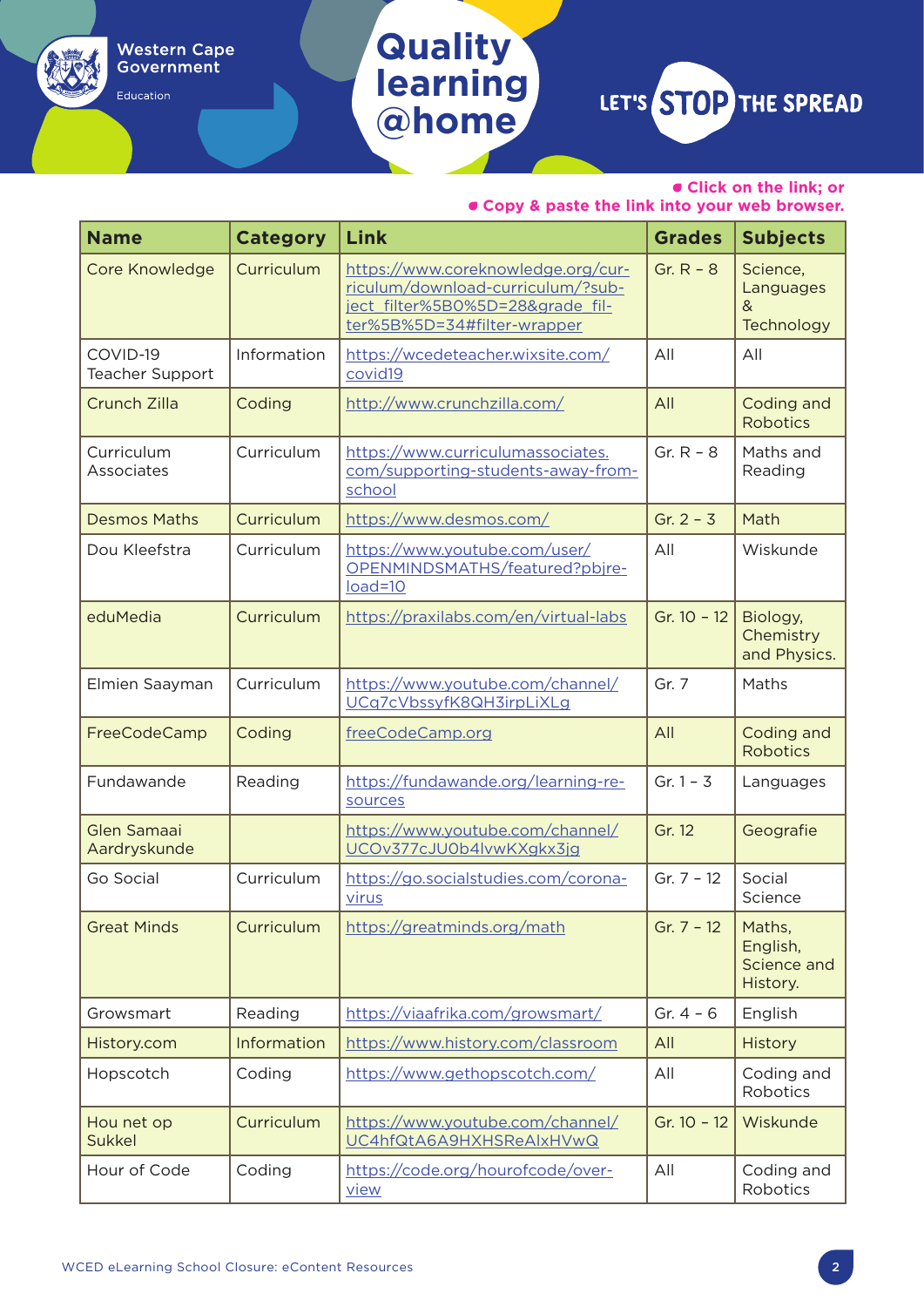Education

## **Quality learning @home**

LET'S STOP THE SPREAD

• **Click on the link; or** 

| <b>Name</b>                        | <b>Category</b> | Link                                                                                                                                       | <b>Grades</b> | <b>Subjects</b>                               |
|------------------------------------|-----------------|--------------------------------------------------------------------------------------------------------------------------------------------|---------------|-----------------------------------------------|
| <b>Core Knowledge</b>              | Curriculum      | https://www.coreknowledge.org/cur-<br>riculum/download-curriculum/?sub-<br>ject filter%5B0%5D=28&grade fil-<br>ter%5B%5D=34#filter-wrapper | Gr. $R - 8$   | Science,<br>Languages<br>&<br>Technology      |
| COVID-19<br><b>Teacher Support</b> | Information     | https://wcedeteacher.wixsite.com/<br>covid19                                                                                               | All           | All                                           |
| Crunch Zilla                       | Coding          | http://www.crunchzilla.com/                                                                                                                | All           | Coding and<br><b>Robotics</b>                 |
| Curriculum<br>Associates           | Curriculum      | https://www.curriculumassociates.<br>com/supporting-students-away-from-<br>school                                                          | Gr. $R - 8$   | Maths and<br>Reading                          |
| <b>Desmos Maths</b>                | Curriculum      | https://www.desmos.com/                                                                                                                    | Gr. $2 - 3$   | Math                                          |
| Dou Kleefstra                      | Curriculum      | https://www.youtube.com/user/<br>OPENMINDSMATHS/featured?pbjre-<br>$load=10$                                                               | All           | Wiskunde                                      |
| eduMedia                           | Curriculum      | https://praxilabs.com/en/virtual-labs                                                                                                      | Gr. $10 - 12$ | Biology,<br>Chemistry<br>and Physics.         |
| Elmien Saayman                     | Curriculum      | https://www.youtube.com/channel/<br>UCq7cVbssyfK8QH3irpLiXLg                                                                               | Gr. 7         | Maths                                         |
| FreeCodeCamp                       | Coding          | freeCodeCamp.org                                                                                                                           | All           | Coding and<br><b>Robotics</b>                 |
| Fundawande                         | Reading         | https://fundawande.org/learning-re-<br>sources                                                                                             | Gr. $1 - 3$   | Languages                                     |
| <b>Glen Samaai</b><br>Aardryskunde |                 | https://www.youtube.com/channel/<br>UCOv377cJU0b4lvwKXgkx3jg                                                                               | Gr. 12        | Geografie                                     |
| Go Social                          | Curriculum      | https://go.socialstudies.com/corona-<br>virus                                                                                              | Gr. $7 - 12$  | Social<br>Science                             |
| <b>Great Minds</b>                 | Curriculum      | https://greatminds.org/math                                                                                                                | Gr. $7 - 12$  | Maths,<br>English,<br>Science and<br>History. |
| Growsmart                          | Reading         | https://viaafrika.com/growsmart/                                                                                                           | Gr. $4 - 6$   | English                                       |
| History.com                        | Information     | https://www.history.com/classroom                                                                                                          | All           | <b>History</b>                                |
| Hopscotch                          | Coding          | https://www.gethopscotch.com/                                                                                                              | All           | Coding and<br>Robotics                        |
| Hou net op<br><b>Sukkel</b>        | Curriculum      | https://www.youtube.com/channel/<br>UC4hfQtA6A9HXHSReAlxHVwQ                                                                               | Gr. 10 - 12   | Wiskunde                                      |
| Hour of Code                       | Coding          | https://code.org/hourofcode/over-<br><u>view</u>                                                                                           | All           | Coding and<br>Robotics                        |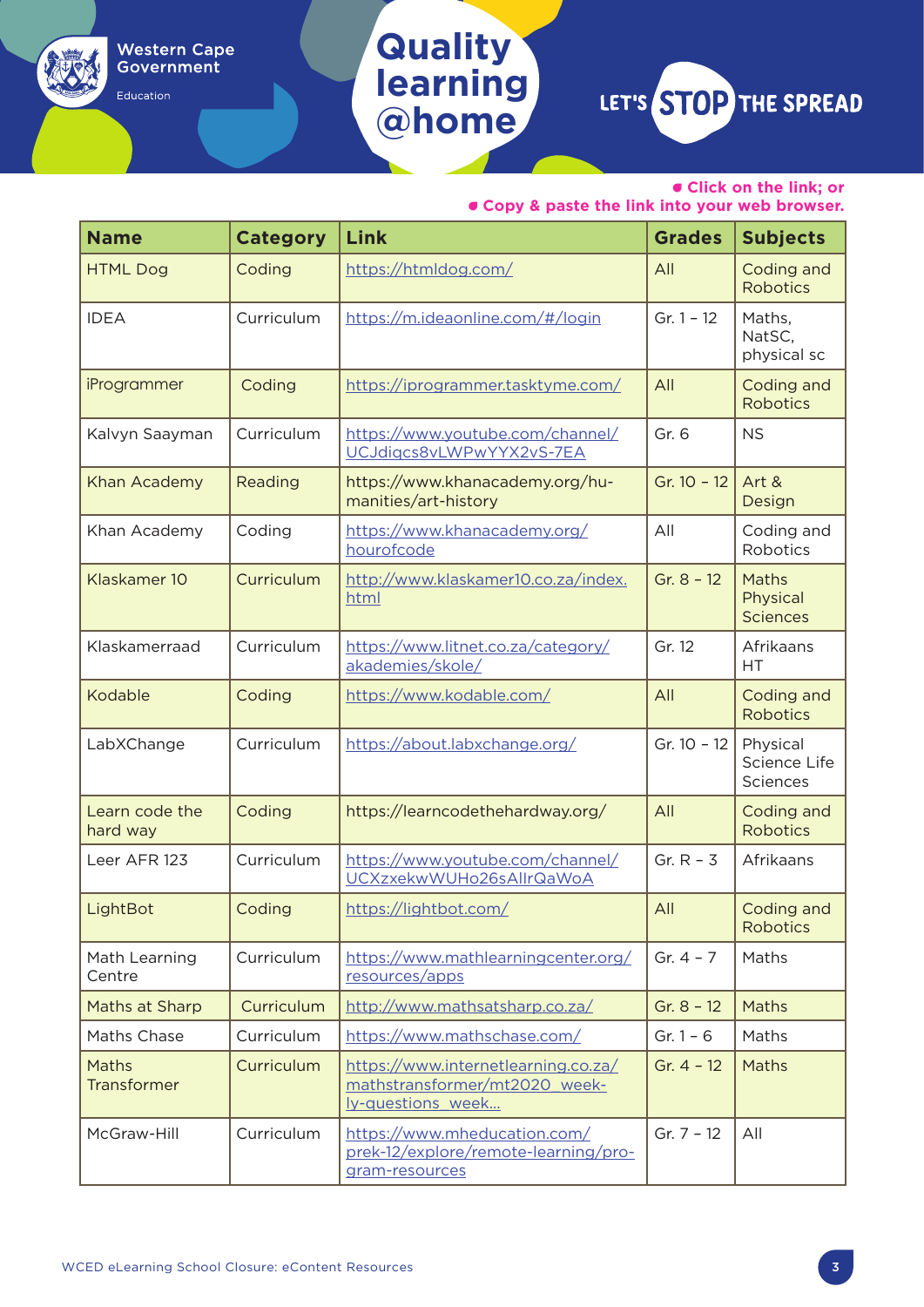Education

## **Quality learning @home**

LET'S STOP THE SPREAD

• **Click on the link; or** 

| <b>Name</b>                 | <b>Category</b> | Link                                                                                      | <b>Grades</b> | <b>Subjects</b>                      |
|-----------------------------|-----------------|-------------------------------------------------------------------------------------------|---------------|--------------------------------------|
| <b>HTML Dog</b>             | Coding          | https://htmldog.com/                                                                      | All           | Coding and<br><b>Robotics</b>        |
| <b>IDEA</b>                 | Curriculum      | https://m.ideaonline.com/#/login                                                          | $Gr. 1 - 12$  | Maths,<br>NatSC,<br>physical sc      |
| iProgrammer                 | Coding          | https://iprogrammer.tasktyme.com/                                                         | All           | Coding and<br><b>Robotics</b>        |
| Kalvyn Saayman              | Curriculum      | https://www.youtube.com/channel/<br>UCJdigcs8vLWPwYYX2vS-7EA                              | Gr. 6         | <b>NS</b>                            |
| Khan Academy                | Reading         | https://www.khanacademy.org/hu-<br>manities/art-history                                   | Gr. $10 - 12$ | Art &<br>Design                      |
| Khan Academy                | Coding          | https://www.khanacademy.org/<br>hourofcode                                                | All           | Coding and<br>Robotics               |
| Klaskamer 10                | Curriculum      | http://www.klaskamer10.co.za/index.<br>html                                               | Gr. $8 - 12$  | Maths<br>Physical<br><b>Sciences</b> |
| Klaskamerraad               | Curriculum      | https://www.litnet.co.za/category/<br>akademies/skole/                                    | Gr. 12        | Afrikaans<br>HT                      |
| Kodable                     | Coding          | https://www.kodable.com/                                                                  | All           | Coding and<br><b>Robotics</b>        |
| LabXChange                  | Curriculum      | https://about.labxchange.org/                                                             | Gr. 10 - 12   | Physical<br>Science Life<br>Sciences |
| Learn code the<br>hard way  | Coding          | https://learncodethehardway.org/                                                          | All           | Coding and<br><b>Robotics</b>        |
| Leer AFR 123                | Curriculum      | https://www.youtube.com/channel/<br>UCXzxekwWUHo26sAllrQaWoA                              | Gr. $R - 3$   | Afrikaans                            |
| LightBot                    | Coding          | https://lightbot.com/                                                                     | All           | Coding and<br>Robotics               |
| Math Learning<br>Centre     | Curriculum      | https://www.mathlearningcenter.org/<br>resources/apps                                     | Gr. $4 - 7$   | Maths                                |
| Maths at Sharp              | Curriculum      | http://www.mathsatsharp.co.za/                                                            | Gr. $8 - 12$  | Maths                                |
| Maths Chase                 | Curriculum      | https://www.mathschase.com/                                                               | Gr. $1 - 6$   | Maths                                |
| Maths<br><b>Transformer</b> | Curriculum      | https://www.internetlearning.co.za/<br>mathstransformer/mt2020 week-<br>ly-questions week | Gr. $4 - 12$  | Maths                                |
| McGraw-Hill                 | Curriculum      | https://www.mheducation.com/<br>prek-12/explore/remote-learning/pro-<br>gram-resources    | Gr. $7 - 12$  | All                                  |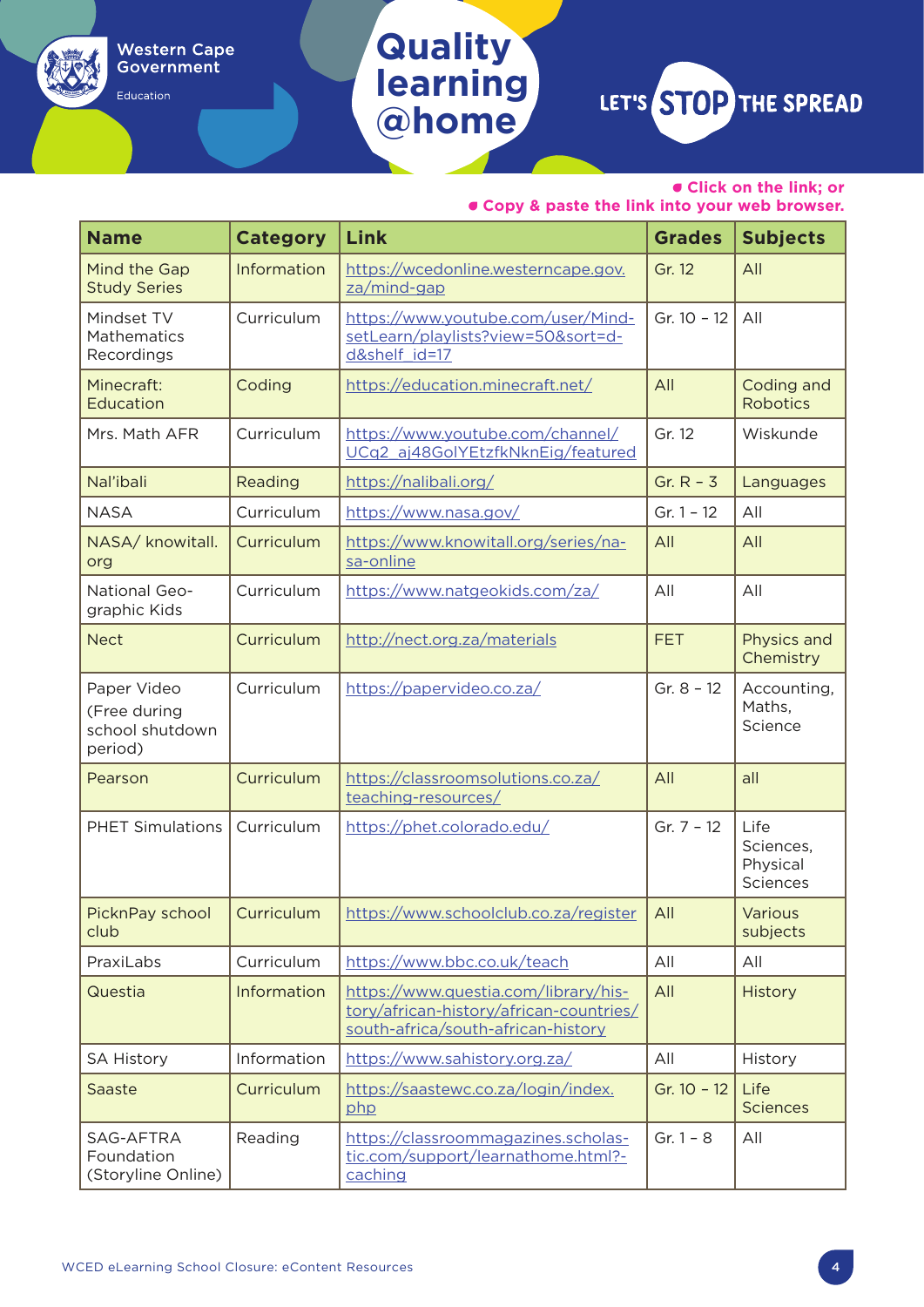Education

## **Quality learning @home**

LET'S STOP THE SPREAD

• **Click on the link; or** 

| <b>Name</b>                                               | <b>Category</b>   | Link                                                                                                                  | <b>Grades</b> | <b>Subjects</b>                           |
|-----------------------------------------------------------|-------------------|-----------------------------------------------------------------------------------------------------------------------|---------------|-------------------------------------------|
| Mind the Gap<br><b>Study Series</b>                       | Information       | https://wcedonline.westerncape.gov.<br>za/mind-gap                                                                    | Gr. 12        | All                                       |
| Mindset TV<br>Mathematics<br>Recordings                   | Curriculum        | https://www.youtube.com/user/Mind-<br>setLearn/playlists?view=50&sort=d-<br>d&shelf id=17                             | Gr. 10 - 12   | All                                       |
| Minecraft:<br>Education                                   | Coding            | https://education.minecraft.net/                                                                                      | All           | Coding and<br><b>Robotics</b>             |
| Mrs. Math AFR                                             | Curriculum        | https://www.youtube.com/channel/<br>UCq2 aj48GolYEtzfkNknEig/featured                                                 | Gr. 12        | Wiskunde                                  |
| Nal'ibali                                                 | Reading           | https://nalibali.org/                                                                                                 | Gr. $R - 3$   | Languages                                 |
| <b>NASA</b>                                               | Curriculum        | https://www.nasa.gov/                                                                                                 | $Gr. 1 - 12$  | All                                       |
| NASA/ knowitall.<br>org                                   | Curriculum        | https://www.knowitall.org/series/na-<br>sa-online                                                                     | All           | All                                       |
| National Geo-<br>graphic Kids                             | Curriculum        | https://www.natgeokids.com/za/                                                                                        | All           | All                                       |
| <b>Nect</b>                                               | Curriculum        | http://nect.org.za/materials                                                                                          | <b>FET</b>    | Physics and<br>Chemistry                  |
| Paper Video<br>(Free during<br>school shutdown<br>period) | Curriculum        | https://papervideo.co.za/                                                                                             | Gr. $8 - 12$  | Accounting,<br>Maths,<br>Science          |
| Pearson                                                   | Curriculum        | https://classroomsolutions.co.za/<br>teaching-resources/                                                              | All           | all                                       |
| <b>PHET Simulations</b>                                   | Curriculum        | https://phet.colorado.edu/                                                                                            | Gr. $7 - 12$  | Life<br>Sciences,<br>Physical<br>Sciences |
| PicknPay school<br>club                                   | <b>Curriculum</b> | https://www.schoolclub.co.za/register                                                                                 | All           | Various<br>subjects                       |
| PraxiLabs                                                 | Curriculum        | https://www.bbc.co.uk/teach                                                                                           | All           | All                                       |
| Questia                                                   | Information       | https://www.questia.com/library/his-<br>tory/african-history/african-countries/<br>south-africa/south-african-history | All           | History                                   |
| <b>SA History</b>                                         | Information       | https://www.sahistory.org.za/                                                                                         | All           | History                                   |
| Saaste                                                    | Curriculum        | https://saastewc.co.za/login/index.<br>php                                                                            | Gr. 10 - 12   | Life<br><b>Sciences</b>                   |
| SAG-AFTRA<br>Foundation<br>(Storyline Online)             | Reading           | https://classroommagazines.scholas-<br>tic.com/support/learnathome.html?-<br>caching                                  | $Gr. 1 - 8$   | All                                       |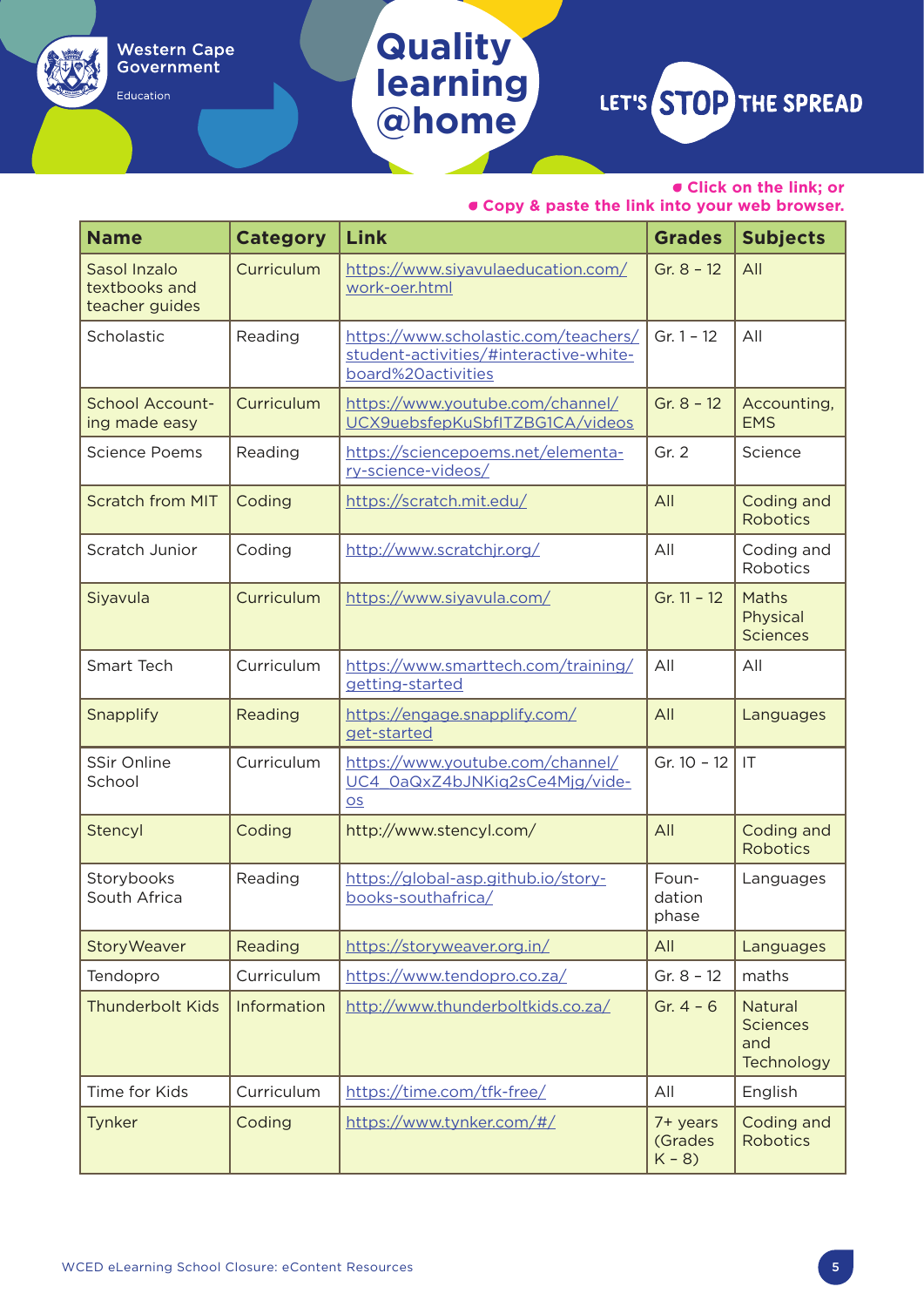Education

## **Quality learning @home**

LET'S STOP THE SPREAD

• **Click on the link; or** 

| <b>Name</b>                                     | <b>Category</b> | Link                                                                                                 | <b>Grades</b>                  | <b>Subjects</b>                                        |
|-------------------------------------------------|-----------------|------------------------------------------------------------------------------------------------------|--------------------------------|--------------------------------------------------------|
| Sasol Inzalo<br>textbooks and<br>teacher guides | Curriculum      | https://www.siyavulaeducation.com/<br>work-oer.html                                                  | Gr. $8 - 12$                   | All                                                    |
| Scholastic                                      | Reading         | https://www.scholastic.com/teachers/<br>student-activities/#interactive-white-<br>board%20activities | Gr. $1 - 12$                   | All                                                    |
| <b>School Account-</b><br>ing made easy         | Curriculum      | https://www.youtube.com/channel/<br>UCX9uebsfepKuSbfITZBG1CA/videos                                  | Gr. $8 - 12$                   | Accounting,<br><b>FMS</b>                              |
| <b>Science Poems</b>                            | Reading         | https://sciencepoems.net/elementa-<br>ry-science-videos/                                             | Gr. 2                          | Science                                                |
| <b>Scratch from MIT</b>                         | Coding          | https://scratch.mit.edu/                                                                             | All                            | Coding and<br><b>Robotics</b>                          |
| Scratch Junior                                  | Coding          | http://www.scratchjr.org/                                                                            | All                            | Coding and<br>Robotics                                 |
| Siyavula                                        | Curriculum      | https://www.siyavula.com/                                                                            | Gr. $11 - 12$                  | Maths<br>Physical<br><b>Sciences</b>                   |
| <b>Smart Tech</b>                               | Curriculum      | https://www.smarttech.com/training/<br>getting-started                                               | All                            | All                                                    |
| Snapplify                                       | Reading         | https://engage.snapplify.com/<br>get-started                                                         | All                            | Languages                                              |
| SSir Online<br>School                           | Curriculum      | https://www.youtube.com/channel/<br>UC4 0aQxZ4bJNKiq2sCe4Mjg/vide-<br><b>OS</b>                      | Gr. 10 - 12                    | IT                                                     |
| Stencyl                                         | Coding          | http://www.stencyl.com/                                                                              | All                            | Coding and<br><b>Robotics</b>                          |
| Storybooks<br>South Africa                      | Reading         | https://global-asp.github.io/story-<br>books-southafrica/                                            | Foun-<br>dation<br>phase       | Languages                                              |
| <b>StoryWeaver</b>                              | Reading         | https://storyweaver.org.in/                                                                          | All                            | Languages                                              |
| Tendopro                                        | Curriculum      | https://www.tendopro.co.za/                                                                          | Gr. $8 - 12$                   | maths                                                  |
| <b>Thunderbolt Kids</b>                         | Information     | http://www.thunderboltkids.co.za/                                                                    | Gr. $4 - 6$                    | <b>Natural</b><br><b>Sciences</b><br>and<br>Technology |
| Time for Kids                                   | Curriculum      | https://time.com/tfk-free/                                                                           | All                            | English                                                |
| Tynker                                          | Coding          | https://www.tynker.com/#/                                                                            | 7+ years<br>(Grades<br>$K - 8$ | Coding and<br><b>Robotics</b>                          |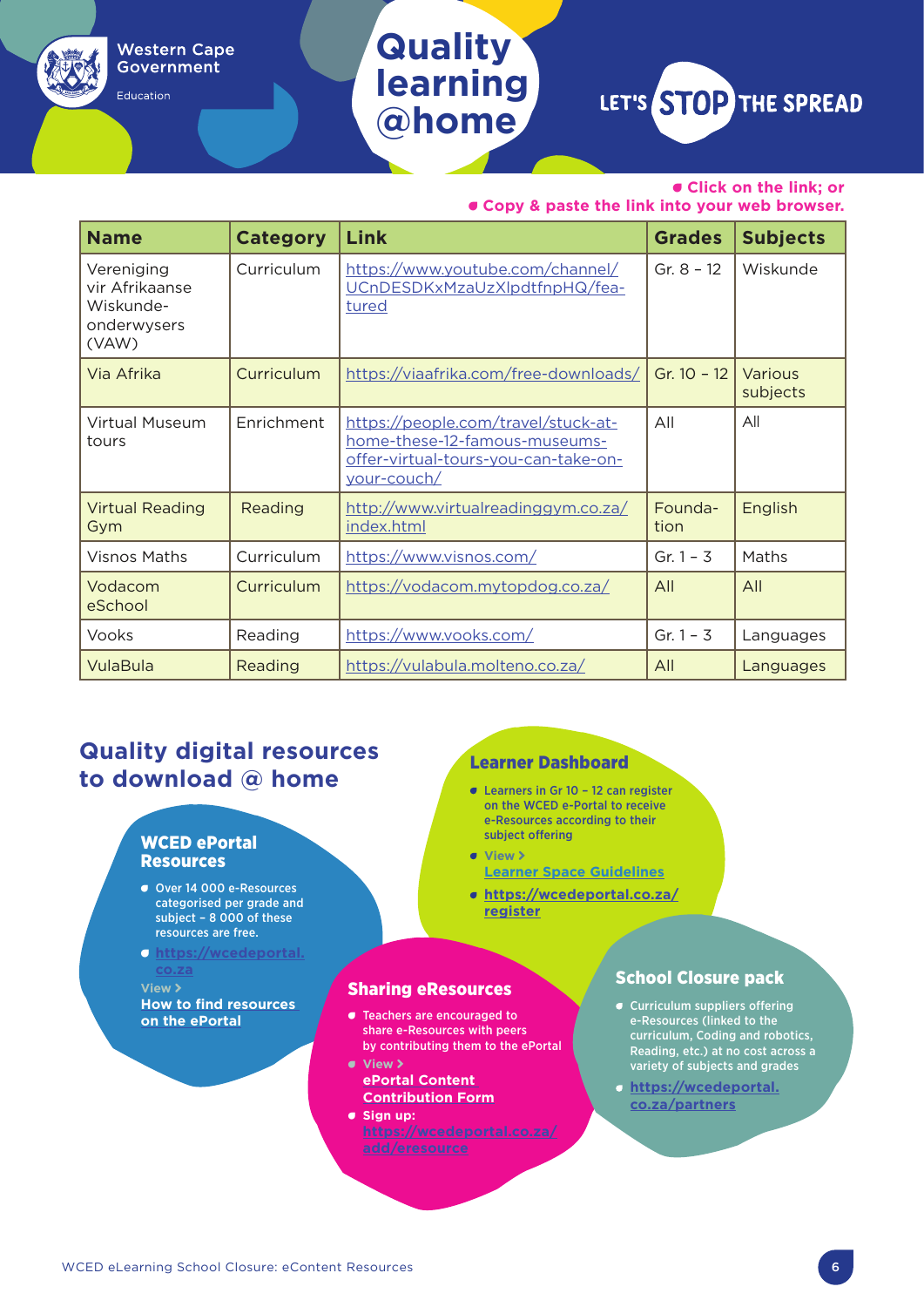Education

## **Quality learning @home**

LET'S STOP THE SPREAD

• **Click on the link; or** 

• **Copy & paste the link into your web browser.**

| <b>Name</b>                                                       | <b>Category</b> | Link                                                                                                                        | <b>Grades</b>   | <b>Subjects</b>            |
|-------------------------------------------------------------------|-----------------|-----------------------------------------------------------------------------------------------------------------------------|-----------------|----------------------------|
| Vereniging<br>vir Afrikaanse<br>Wiskunde-<br>onderwysers<br>(VAW) | Curriculum      | https://www.youtube.com/channel/<br>UCnDESDKxMzaUzXlpdtfnpHQ/fea-<br>tured                                                  | Gr. $8 - 12$    | Wiskunde                   |
| Via Afrika                                                        | Curriculum      | https://viaafrika.com/free-downloads/                                                                                       | Gr. $10 - 12$   | <b>Various</b><br>subjects |
| Virtual Museum<br>tours                                           | Enrichment      | https://people.com/travel/stuck-at-<br>home-these-12-famous-museums-<br>offer-virtual-tours-you-can-take-on-<br>your-couch/ | All             | All                        |
| <b>Virtual Reading</b><br>Gym                                     | Reading         | http://www.virtualreadinggym.co.za/<br>index.html                                                                           | Founda-<br>tion | English                    |
| Visnos Maths                                                      | Curriculum      | https://www.visnos.com/                                                                                                     | Gr. $1 - 3$     | Maths                      |
| Vodacom<br>eSchool                                                | Curriculum      | https://vodacom.mytopdog.co.za/                                                                                             | All             | All                        |
| Vooks                                                             | Reading         | https://www.vooks.com/                                                                                                      | Gr. $1 - 3$     | Languages                  |
| VulaBula                                                          | Reading         | https://vulabula.molteno.co.za/                                                                                             | All             | Languages                  |

### **Quality digital resources to download @ home**

#### WCED ePortal Resources

- Over 14 000 e-Resources categorised per grade and subject – 8 000 of these resources are free.
- **[https://wcedeportal.](https://wcedeportal.co.za)**

**View > [How to find resources](https://drive.google.com/open?id=1_5wOuNz8kn-W81e0iTaUvNQ2e7dNEYpT)  [on the ePortal](https://drive.google.com/open?id=1_5wOuNz8kn-W81e0iTaUvNQ2e7dNEYpT)**

#### Learner Dashboard

- Learners in Gr 10 12 can register on the WCED e-Portal to receive e-Resources according to their subject offering
- **view > [Learner Space Guidelines](https://drive.google.com/open?id=1O_p-JIGye1NNEmU_8WLqR6zCuJZcqbuc)**
- **[https://wcedeportal.co.za/](https://wcedeportal.co.za/register
) [register](https://wcedeportal.co.za/register
)**

#### Sharing eResources

- Teachers are encouraged to share e-Resources with peers by contributing them to the ePortal • **View** A
- **[ePortal Content](https://drive.google.com/open?id=1AKOxO0pbvWDZL_HG8Dj1qagm63DeTXrF)  [Contribution Form](https://drive.google.com/open?id=1AKOxO0pbvWDZL_HG8Dj1qagm63DeTXrF)**
- **Sign up:**

#### School Closure pack

- Curriculum suppliers offering e-Resources (linked to the curriculum, Coding and robotics, Reading, etc.) at no cost across a variety of subjects and grades
- **[https://wcedeportal.](https://wcedeportal.co.za/
partners) [co.za/partners](https://wcedeportal.co.za/
partners)**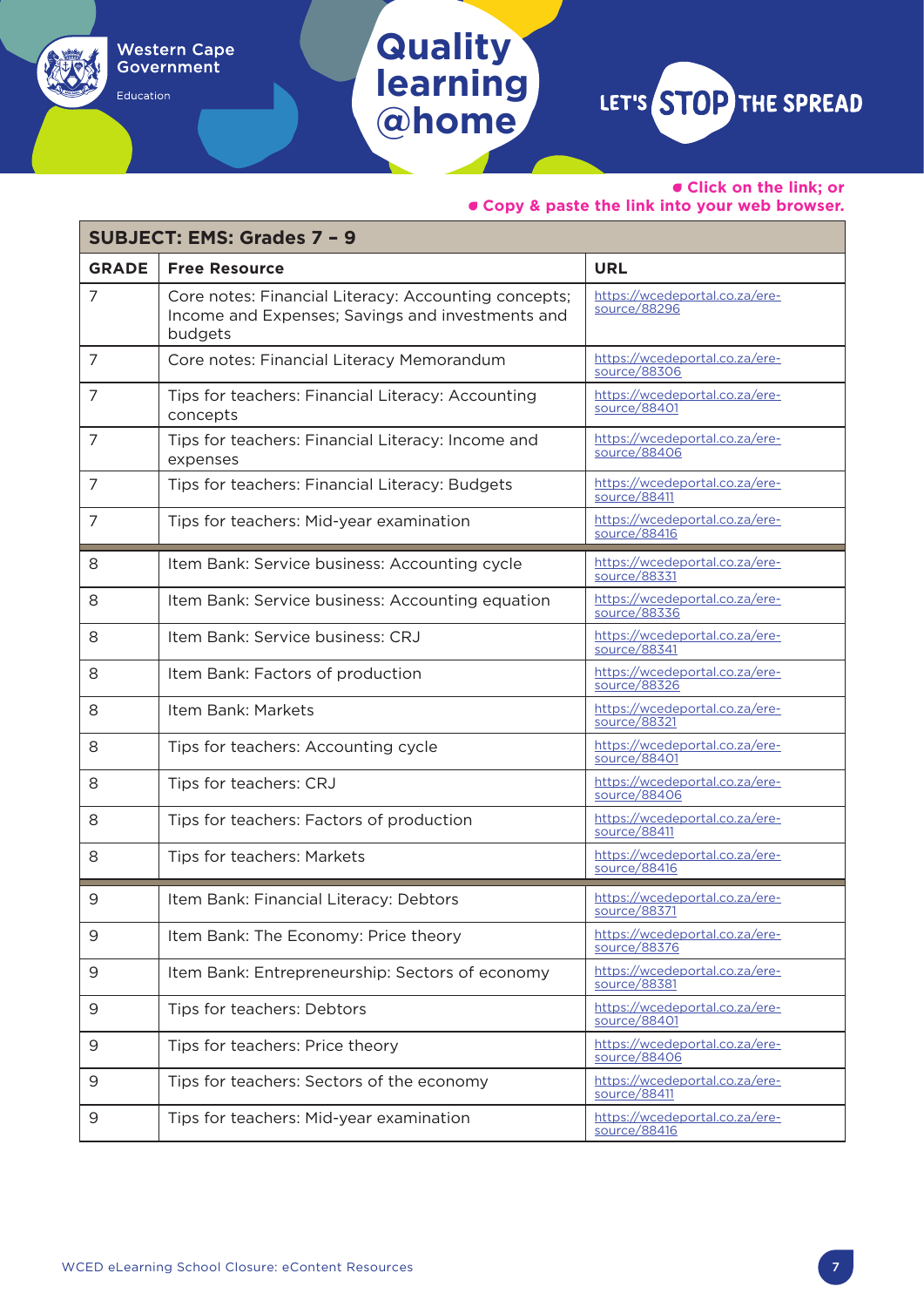• **Click on the link; or** 

#### • **Copy & paste the link into your web browser.**

| <b>SUBJECT: EMS: Grades 7 - 9</b> |                                                                                                                     |                                                |  |
|-----------------------------------|---------------------------------------------------------------------------------------------------------------------|------------------------------------------------|--|
| <b>GRADE</b>                      | <b>Free Resource</b>                                                                                                | <b>URL</b>                                     |  |
| 7                                 | Core notes: Financial Literacy: Accounting concepts;<br>Income and Expenses; Savings and investments and<br>budgets | https://wcedeportal.co.za/ere-<br>source/88296 |  |
| 7                                 | Core notes: Financial Literacy Memorandum                                                                           | https://wcedeportal.co.za/ere-<br>source/88306 |  |
| 7                                 | Tips for teachers: Financial Literacy: Accounting<br>concepts                                                       | https://wcedeportal.co.za/ere-<br>source/88401 |  |
| 7                                 | Tips for teachers: Financial Literacy: Income and<br>expenses                                                       | https://wcedeportal.co.za/ere-<br>source/88406 |  |
| 7                                 | Tips for teachers: Financial Literacy: Budgets                                                                      | https://wcedeportal.co.za/ere-<br>source/88411 |  |
| 7                                 | Tips for teachers: Mid-year examination                                                                             | https://wcedeportal.co.za/ere-<br>source/88416 |  |
| 8                                 | Item Bank: Service business: Accounting cycle                                                                       | https://wcedeportal.co.za/ere-<br>source/88331 |  |
| 8                                 | Item Bank: Service business: Accounting equation                                                                    | https://wcedeportal.co.za/ere-<br>source/88336 |  |
| 8                                 | Item Bank: Service business: CRJ                                                                                    | https://wcedeportal.co.za/ere-<br>source/88341 |  |
| 8                                 | Item Bank: Factors of production                                                                                    | https://wcedeportal.co.za/ere-<br>source/88326 |  |
| 8                                 | Item Bank: Markets                                                                                                  | https://wcedeportal.co.za/ere-<br>source/88321 |  |
| 8                                 | Tips for teachers: Accounting cycle                                                                                 | https://wcedeportal.co.za/ere-<br>source/88401 |  |
| 8                                 | Tips for teachers: CRJ                                                                                              | https://wcedeportal.co.za/ere-<br>source/88406 |  |
| 8                                 | Tips for teachers: Factors of production                                                                            | https://wcedeportal.co.za/ere-<br>source/88411 |  |
| 8                                 | Tips for teachers: Markets                                                                                          | https://wcedeportal.co.za/ere-<br>source/88416 |  |
| 9                                 | Item Bank: Financial Literacy: Debtors                                                                              | https://wcedeportal.co.za/ere-<br>source/88371 |  |
| 9                                 | Item Bank: The Economy: Price theory                                                                                | https://wcedeportal.co.za/ere-<br>source/88376 |  |
| 9                                 | Item Bank: Entrepreneurship: Sectors of economy                                                                     | https://wcedeportal.co.za/ere-<br>source/88381 |  |
| 9                                 | Tips for teachers: Debtors                                                                                          | https://wcedeportal.co.za/ere-<br>source/88401 |  |
| 9                                 | Tips for teachers: Price theory                                                                                     | https://wcedeportal.co.za/ere-<br>source/88406 |  |
| 9                                 | Tips for teachers: Sectors of the economy                                                                           | https://wcedeportal.co.za/ere-<br>source/88411 |  |
| 9                                 | Tips for teachers: Mid-year examination                                                                             | https://wcedeportal.co.za/ere-<br>source/88416 |  |

**Quality** 

**Western Cape** Government

Education

**learning**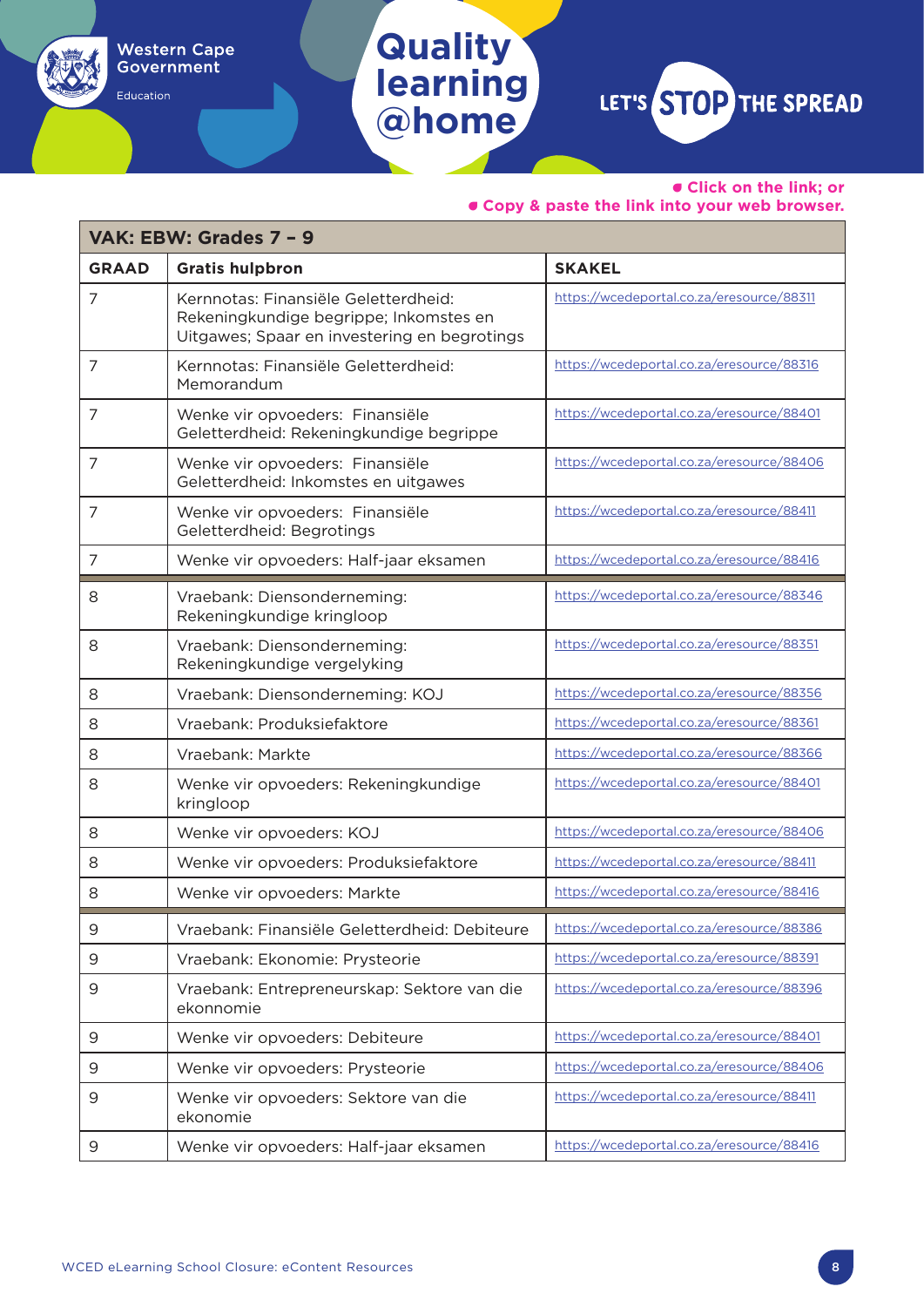• **Click on the link; or** 

٦

• **Copy & paste the link into your web browser.**

| VAK: EBW: Grades 7 - 9 |                                                                                                                                |                                           |  |
|------------------------|--------------------------------------------------------------------------------------------------------------------------------|-------------------------------------------|--|
| <b>GRAAD</b>           | <b>Gratis hulpbron</b>                                                                                                         | <b>SKAKEL</b>                             |  |
| 7                      | Kernnotas: Finansiële Geletterdheid:<br>Rekeningkundige begrippe; Inkomstes en<br>Uitgawes; Spaar en investering en begrotings | https://wcedeportal.co.za/eresource/88311 |  |
| 7                      | Kernnotas: Finansiële Geletterdheid:<br>Memorandum                                                                             | https://wcedeportal.co.za/eresource/88316 |  |
| 7                      | Wenke vir opvoeders: Finansiële<br>Geletterdheid: Rekeningkundige begrippe                                                     | https://wcedeportal.co.za/eresource/88401 |  |
| 7                      | Wenke vir opvoeders: Finansiële<br>Geletterdheid: Inkomstes en uitgawes                                                        | https://wcedeportal.co.za/eresource/88406 |  |
| 7                      | Wenke vir opvoeders: Finansiële<br>Geletterdheid: Begrotings                                                                   | https://wcedeportal.co.za/eresource/88411 |  |
| 7                      | Wenke vir opvoeders: Half-jaar eksamen                                                                                         | https://wcedeportal.co.za/eresource/88416 |  |
| 8                      | Vraebank: Diensonderneming:<br>Rekeningkundige kringloop                                                                       | https://wcedeportal.co.za/eresource/88346 |  |
| 8                      | Vraebank: Diensonderneming:<br>Rekeningkundige vergelyking                                                                     | https://wcedeportal.co.za/eresource/88351 |  |
| 8                      | Vraebank: Diensonderneming: KOJ                                                                                                | https://wcedeportal.co.za/eresource/88356 |  |
| 8                      | Vraebank: Produksiefaktore                                                                                                     | https://wcedeportal.co.za/eresource/88361 |  |
| 8                      | Vraebank: Markte                                                                                                               | https://wcedeportal.co.za/eresource/88366 |  |
| 8                      | Wenke vir opvoeders: Rekeningkundige<br>kringloop                                                                              | https://wcedeportal.co.za/eresource/88401 |  |
| 8                      | Wenke vir opvoeders: KOJ                                                                                                       | https://wcedeportal.co.za/eresource/88406 |  |
| 8                      | Wenke vir opvoeders: Produksiefaktore                                                                                          | https://wcedeportal.co.za/eresource/88411 |  |
| 8                      | Wenke vir opvoeders: Markte                                                                                                    | https://wcedeportal.co.za/eresource/88416 |  |
| У                      | Vraebank: Finansiële Geletterdheid: Debiteure                                                                                  | https://wcedeportal.co.za/eresource/88386 |  |
| 9                      | Vraebank: Ekonomie: Prysteorie                                                                                                 | https://wcedeportal.co.za/eresource/88391 |  |
| 9                      | Vraebank: Entrepreneurskap: Sektore van die<br>ekonnomie                                                                       | https://wcedeportal.co.za/eresource/88396 |  |
| 9                      | Wenke vir opvoeders: Debiteure                                                                                                 | https://wcedeportal.co.za/eresource/88401 |  |
| 9                      | Wenke vir opvoeders: Prysteorie                                                                                                | https://wcedeportal.co.za/eresource/88406 |  |
| 9                      | Wenke vir opvoeders: Sektore van die<br>ekonomie                                                                               | https://wcedeportal.co.za/eresource/88411 |  |
| 9                      | Wenke vir opvoeders: Half-jaar eksamen                                                                                         | https://wcedeportal.co.za/eresource/88416 |  |

**Quality** 

**Western Cape** Government

Education

**learning**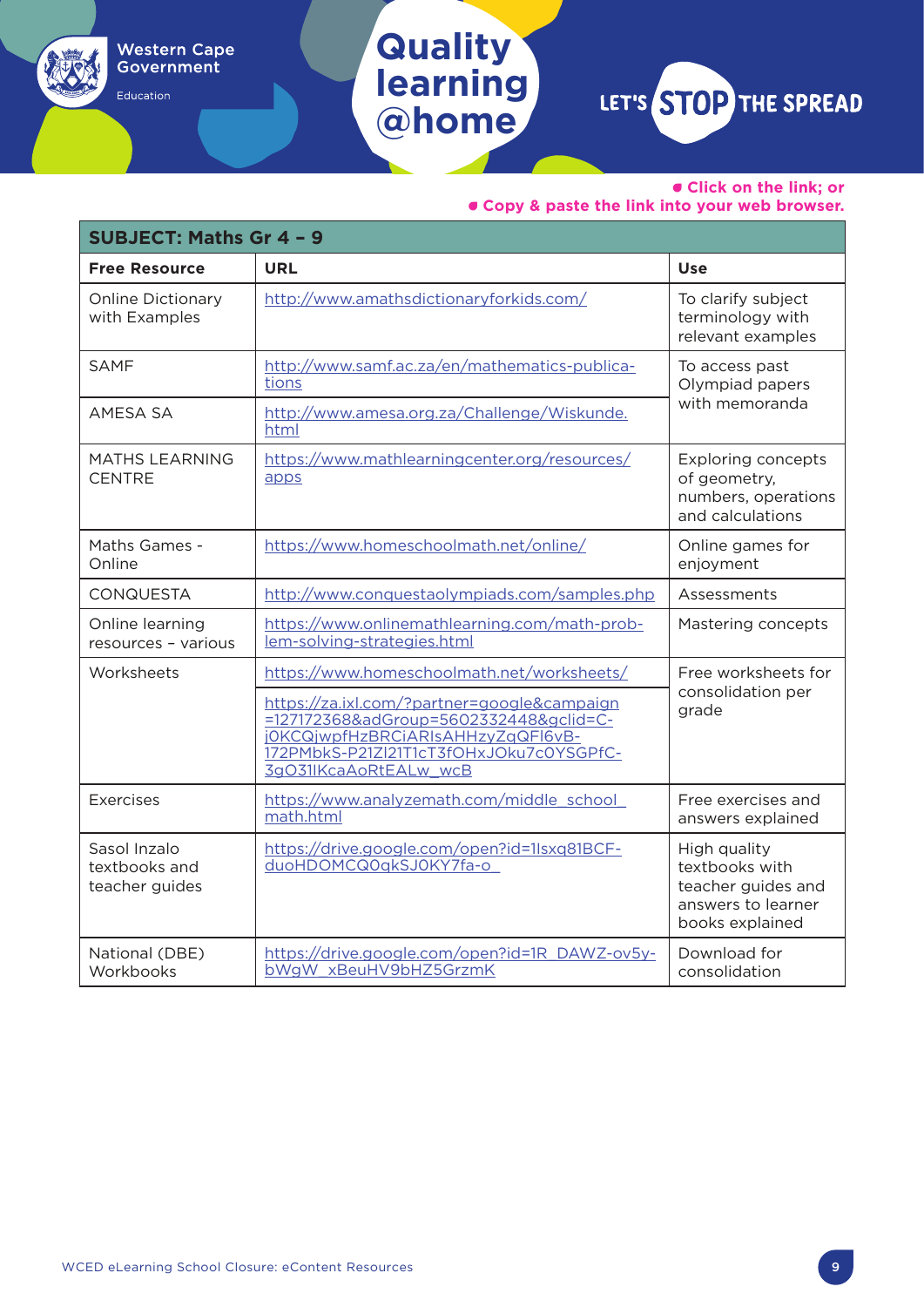Education

### **learning @home**

**Quality** 

LET'S STOP THE SPREAD

#### • **Click on the link; or**

| <b>SUBJECT: Maths Gr 4 - 9</b>                  |                                                                                                                                                                                                |                                                                                               |  |  |
|-------------------------------------------------|------------------------------------------------------------------------------------------------------------------------------------------------------------------------------------------------|-----------------------------------------------------------------------------------------------|--|--|
| <b>Free Resource</b>                            | <b>URL</b>                                                                                                                                                                                     | <b>Use</b>                                                                                    |  |  |
| <b>Online Dictionary</b><br>with Examples       | http://www.amathsdictionaryforkids.com/                                                                                                                                                        | To clarify subject<br>terminology with<br>relevant examples                                   |  |  |
| <b>SAMF</b>                                     | http://www.samf.ac.za/en/mathematics-publica-<br>tions                                                                                                                                         | To access past<br>Olympiad papers                                                             |  |  |
| AMESA SA                                        | http://www.amesa.org.za/Challenge/Wiskunde.<br>html                                                                                                                                            | with memoranda                                                                                |  |  |
| <b>MATHS LEARNING</b><br><b>CENTRE</b>          | https://www.mathlearningcenter.org/resources/<br>apps                                                                                                                                          | <b>Exploring concepts</b><br>of geometry,<br>numbers, operations<br>and calculations          |  |  |
| Maths Games -<br>Online                         | https://www.homeschoolmath.net/online/                                                                                                                                                         | Online games for<br>enjoyment                                                                 |  |  |
| <b>CONQUESTA</b>                                | http://www.conquestaolympiads.com/samples.php                                                                                                                                                  | Assessments                                                                                   |  |  |
| Online learning<br>resources - various          | https://www.onlinemathlearning.com/math-prob-<br>lem-solving-strategies.html                                                                                                                   | Mastering concepts                                                                            |  |  |
| Worksheets                                      | https://www.homeschoolmath.net/worksheets/                                                                                                                                                     | Free worksheets for                                                                           |  |  |
|                                                 | https://za.ixl.com/?partner=google&campaign<br>=127172368&adGroup=5602332448&gclid=C-<br>j0KCQjwpfHzBRCiARIsAHHzyZqQFI6vB-<br>172PMbkS-P21Zl21T1cT3fOHxJOku7c0YSGPfC-<br>3qO31IKcaAoRtEALw wcB | consolidation per<br>grade                                                                    |  |  |
| Exercises                                       | https://www.analyzemath.com/middle_school<br>math.html                                                                                                                                         | Free exercises and<br>answers explained                                                       |  |  |
| Sasol Inzalo<br>textbooks and<br>teacher guides | https://drive.google.com/open?id=1Isxq81BCF-<br>duoHDOMCQ0qkSJ0KY7fa-o                                                                                                                         | High quality<br>textbooks with<br>teacher guides and<br>answers to learner<br>books explained |  |  |
| National (DBE)<br>Workbooks                     | https://drive.google.com/open?id=1R_DAWZ-ov5y-<br>bWgW xBeuHV9bHZ5GrzmK                                                                                                                        | Download for<br>consolidation                                                                 |  |  |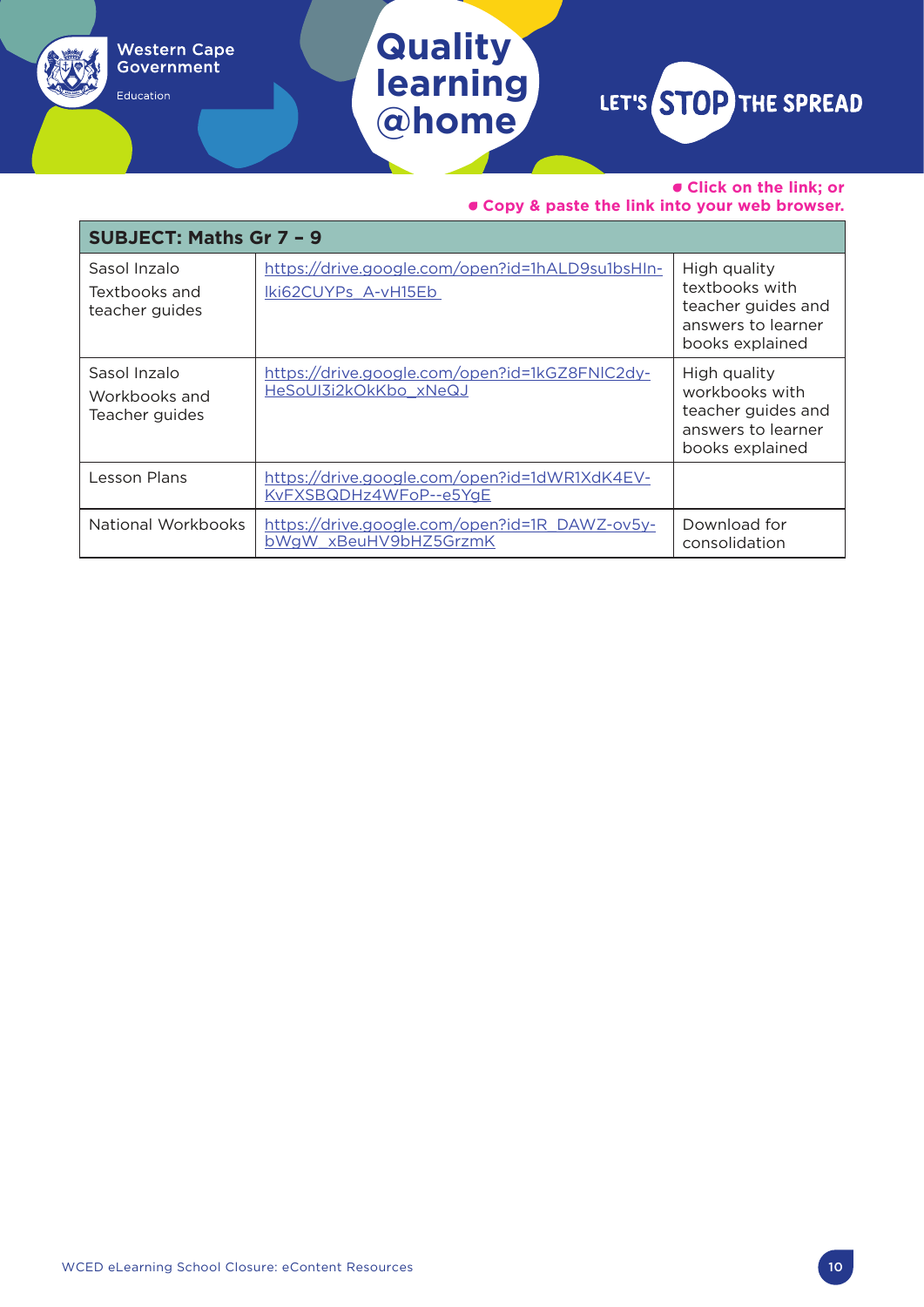### **Quality learning @home**

Western Cape<br>Government

Education

LET'S STOP THE SPREAD

#### • **Click on the link; or**

| <b>SUBJECT: Maths Gr 7 - 9</b>                  |                                                                         |                                                                                               |  |
|-------------------------------------------------|-------------------------------------------------------------------------|-----------------------------------------------------------------------------------------------|--|
| Sasol Inzalo<br>Textbooks and<br>teacher guides | https://drive.google.com/open?id=1hALD9su1bsHIn-<br>Iki62CUYPs A-vH15Eb | High quality<br>textbooks with<br>teacher guides and<br>answers to learner<br>books explained |  |
| Sasol Inzalo<br>Workbooks and<br>Teacher guides | https://drive.google.com/open?id=1kGZ8FNIC2dy-<br>HeSoUI3i2kOkKbo xNeQJ | High quality<br>workbooks with<br>teacher guides and<br>answers to learner<br>books explained |  |
| Lesson Plans                                    | https://drive.google.com/open?id=1dWR1XdK4EV-<br>KvFXSBQDHz4WFoP--e5YgE |                                                                                               |  |
| National Workbooks                              | https://drive.google.com/open?id=1R_DAWZ-ov5y-<br>bWgW xBeuHV9bHZ5GrzmK | Download for<br>consolidation                                                                 |  |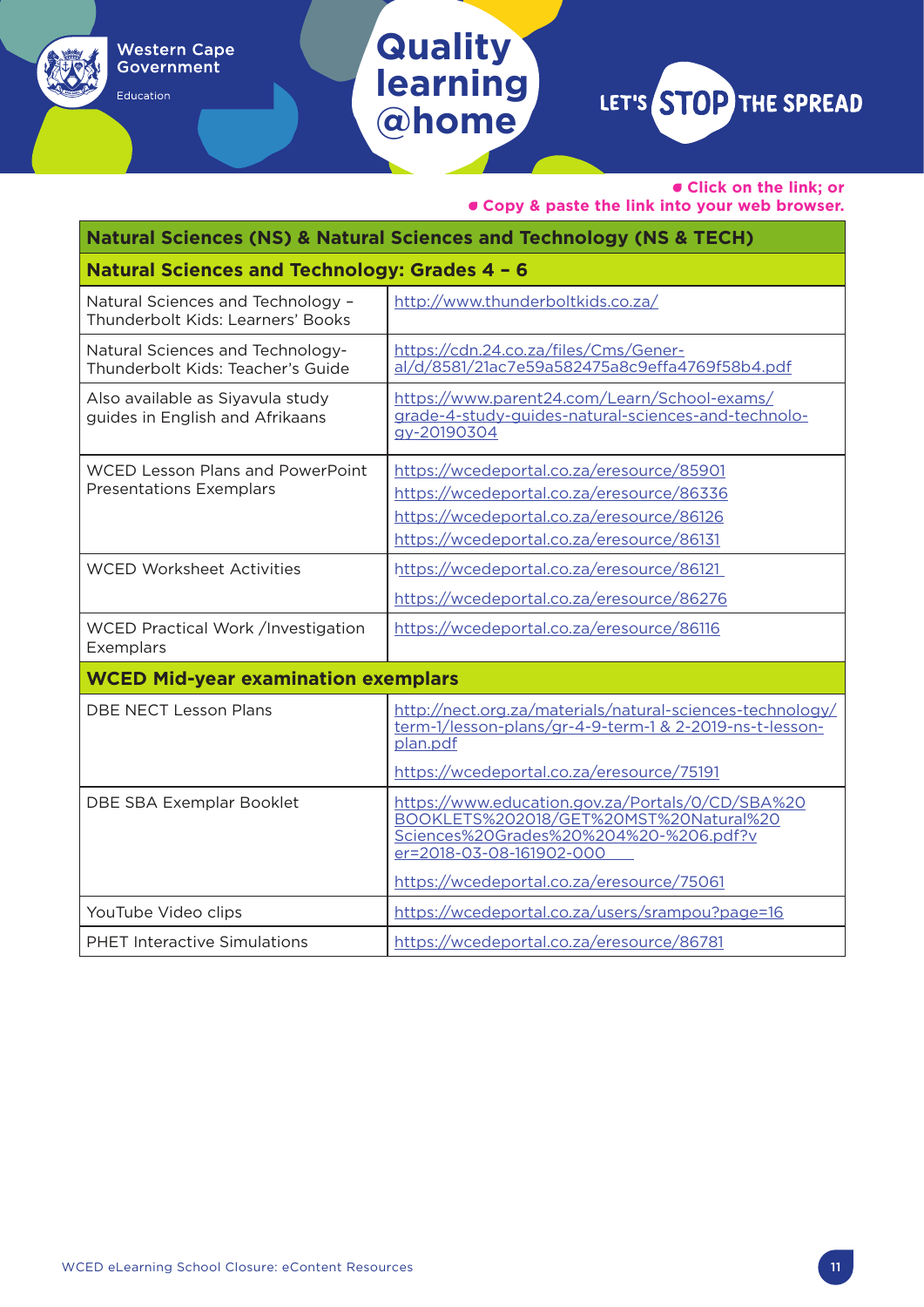Education

## **Quality learning @home**

LET'S STOP THE SPREAD

• **Click on the link; or** 

| Natural Sciences (NS) & Natural Sciences and Technology (NS & TECH)       |                                                                                                                                                                                                               |  |
|---------------------------------------------------------------------------|---------------------------------------------------------------------------------------------------------------------------------------------------------------------------------------------------------------|--|
| Natural Sciences and Technology: Grades 4 - 6                             |                                                                                                                                                                                                               |  |
| Natural Sciences and Technology -<br>Thunderbolt Kids: Learners' Books    | http://www.thunderboltkids.co.za/                                                                                                                                                                             |  |
| Natural Sciences and Technology-<br>Thunderbolt Kids: Teacher's Guide     | https://cdn.24.co.za/files/Cms/Gener-<br>al/d/8581/21ac7e59a582475a8c9effa4769f58b4.pdf                                                                                                                       |  |
| Also available as Siyavula study<br>guides in English and Afrikaans       | https://www.parent24.com/Learn/School-exams/<br>grade-4-study-guides-natural-sciences-and-technolo-<br>gy-20190304                                                                                            |  |
| <b>WCED Lesson Plans and PowerPoint</b><br><b>Presentations Exemplars</b> | https://wcedeportal.co.za/eresource/85901<br>https://wcedeportal.co.za/eresource/86336<br>https://wcedeportal.co.za/eresource/86126<br>https://wcedeportal.co.za/eresource/86131                              |  |
| <b>WCED Worksheet Activities</b>                                          | https://wcedeportal.co.za/eresource/86121<br>https://wcedeportal.co.za/eresource/86276                                                                                                                        |  |
| WCED Practical Work /Investigation<br>Exemplars                           | https://wcedeportal.co.za/eresource/86116                                                                                                                                                                     |  |
| <b>WCED Mid-year examination exemplars</b>                                |                                                                                                                                                                                                               |  |
| <b>DBE NECT Lesson Plans</b>                                              | http://nect.org.za/materials/natural-sciences-technology/<br>term-1/lesson-plans/gr-4-9-term-1 & 2-2019-ns-t-lesson-<br>plan.pdf<br>https://wcedeportal.co.za/eresource/75191                                 |  |
| DBE SBA Exemplar Booklet                                                  | https://www.education.gov.za/Portals/0/CD/SBA%20<br>BOOKLETS%202018/GET%20MST%20Natural%20<br>Sciences%20Grades%20%204%20-%206.pdf?v<br>er=2018-03-08-161902-000<br>https://wcedeportal.co.za/eresource/75061 |  |
| YouTube Video clips                                                       | https://wcedeportal.co.za/users/srampou?page=16                                                                                                                                                               |  |
| <b>PHET Interactive Simulations</b>                                       | https://wcedeportal.co.za/eresource/86781                                                                                                                                                                     |  |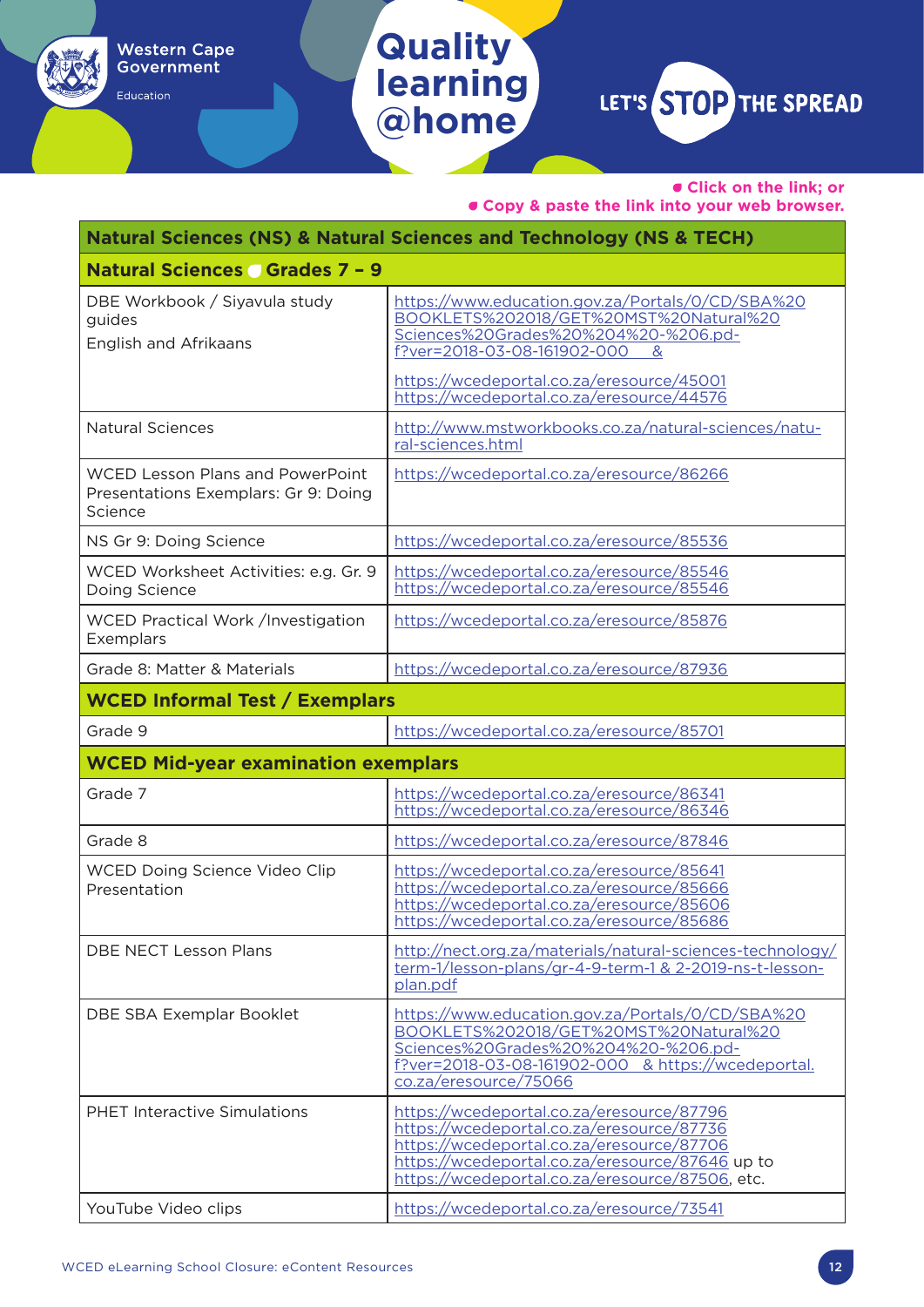Education

### **learning** LET'S STOP THE SPREAD **@home**

**Quality** 

• **Click on the link; or** 

| Natural Sciences (NS) & Natural Sciences and Technology (NS & TECH)                        |                                                                                                                                                                                                                                           |  |
|--------------------------------------------------------------------------------------------|-------------------------------------------------------------------------------------------------------------------------------------------------------------------------------------------------------------------------------------------|--|
| <b>Natural Sciences Grades 7 - 9</b>                                                       |                                                                                                                                                                                                                                           |  |
| DBE Workbook / Siyavula study<br>guides<br><b>English and Afrikaans</b>                    | https://www.education.gov.za/Portals/0/CD/SBA%20<br>BOOKLETS%202018/GET%20MST%20Natural%20<br>Sciences%20Grades%20%204%20-%206.pd-<br>f?ver=2018-03-08-161902-000<br>&                                                                    |  |
|                                                                                            | https://wcedeportal.co.za/eresource/45001<br>https://wcedeportal.co.za/eresource/44576                                                                                                                                                    |  |
| <b>Natural Sciences</b>                                                                    | http://www.mstworkbooks.co.za/natural-sciences/natu-<br>ral-sciences.html                                                                                                                                                                 |  |
| <b>WCED Lesson Plans and PowerPoint</b><br>Presentations Exemplars: Gr 9: Doing<br>Science | https://wcedeportal.co.za/eresource/86266                                                                                                                                                                                                 |  |
| NS Gr 9: Doing Science                                                                     | https://wcedeportal.co.za/eresource/85536                                                                                                                                                                                                 |  |
| WCED Worksheet Activities: e.g. Gr. 9<br>Doing Science                                     | https://wcedeportal.co.za/eresource/85546<br>https://wcedeportal.co.za/eresource/85546                                                                                                                                                    |  |
| WCED Practical Work /Investigation<br>Exemplars                                            | https://wcedeportal.co.za/eresource/85876                                                                                                                                                                                                 |  |
| Grade 8: Matter & Materials                                                                | https://wcedeportal.co.za/eresource/87936                                                                                                                                                                                                 |  |
| <b>WCED Informal Test / Exemplars</b>                                                      |                                                                                                                                                                                                                                           |  |
| Grade 9                                                                                    | https://wcedeportal.co.za/eresource/85701                                                                                                                                                                                                 |  |
| <b>WCED Mid-year examination exemplars</b>                                                 |                                                                                                                                                                                                                                           |  |
| Grade 7                                                                                    | https://wcedeportal.co.za/eresource/86341<br>https://wcedeportal.co.za/eresource/86346                                                                                                                                                    |  |
| Grade 8                                                                                    | https://wcedeportal.co.za/eresource/87846                                                                                                                                                                                                 |  |
| WCED Doing Science Video Clip<br>Presentation                                              | https://wcedeportal.co.za/eresource/85641<br>https://wcedeportal.co.za/eresource/85666<br>https://wcedeportal.co.za/eresource/85606<br>https://wcedeportal.co.za/eresource/85686                                                          |  |
| DBE NECT Lesson Plans                                                                      | http://nect.org.za/materials/natural-sciences-technology/<br>term-1/lesson-plans/gr-4-9-term-1 & 2-2019-ns-t-lesson-<br>plan.pdf                                                                                                          |  |
| DBE SBA Exemplar Booklet                                                                   | https://www.education.gov.za/Portals/0/CD/SBA%20<br>BOOKLETS%202018/GET%20MST%20Natural%20<br>Sciences%20Grades%20%204%20-%206.pd-<br>f?ver=2018-03-08-161902-000 & https://wcedeportal.<br>co.za/eresource/75066                         |  |
| <b>PHET Interactive Simulations</b>                                                        | https://wcedeportal.co.za/eresource/87796<br>https://wcedeportal.co.za/eresource/87736<br>https://wcedeportal.co.za/eresource/87706<br>https://wcedeportal.co.za/eresource/87646 up to<br>https://wcedeportal.co.za/eresource/87506, etc. |  |
| YouTube Video clips                                                                        | https://wcedeportal.co.za/eresource/73541                                                                                                                                                                                                 |  |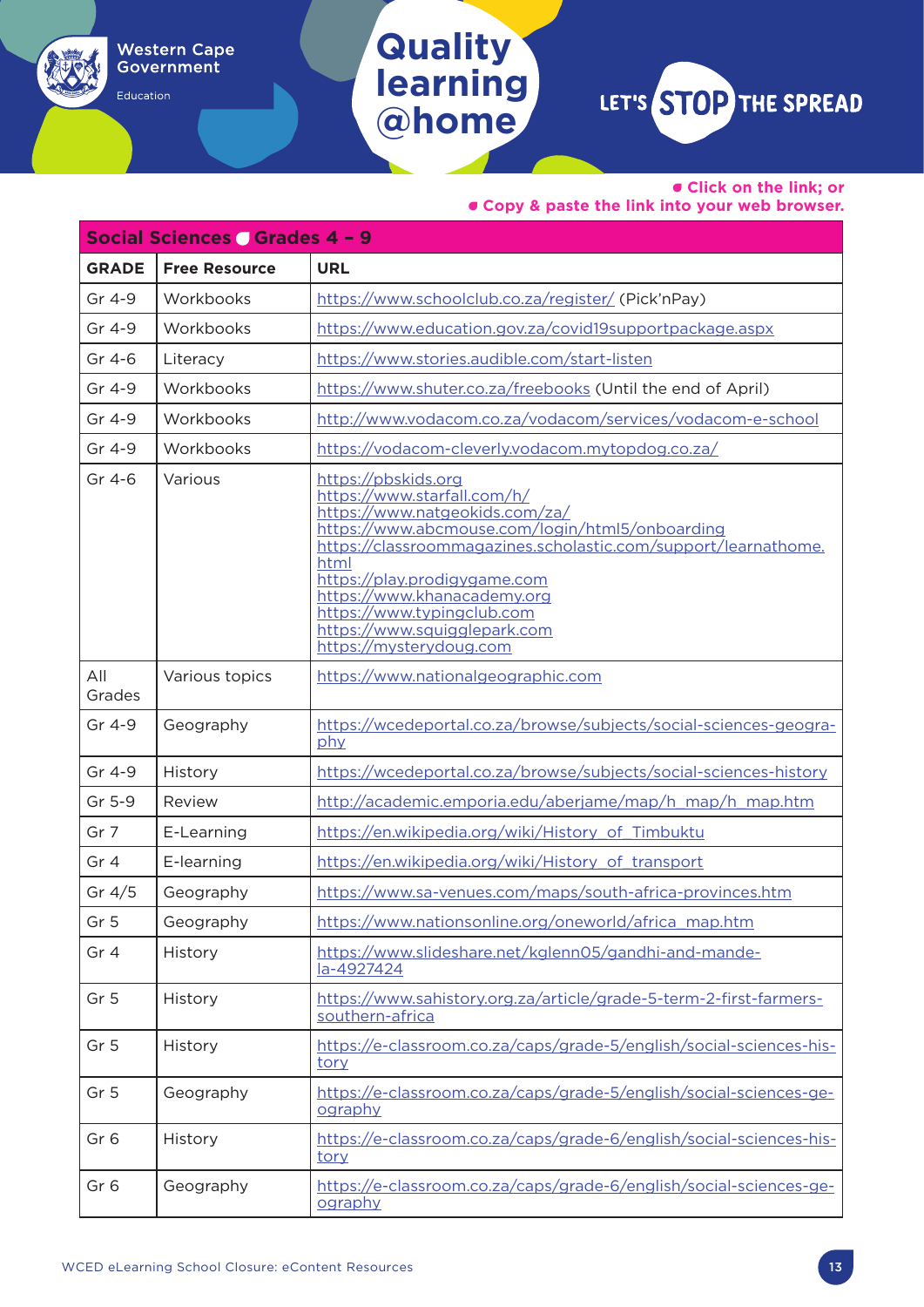Education

## **Quality learning @home**

LET'S STOP THE SPREAD

• **Click on the link; or** 

| Social Sciences Grades 4 - 9 |                      |                                                                                                                                                                                                                                                                                                                                                                           |  |
|------------------------------|----------------------|---------------------------------------------------------------------------------------------------------------------------------------------------------------------------------------------------------------------------------------------------------------------------------------------------------------------------------------------------------------------------|--|
| <b>GRADE</b>                 | <b>Free Resource</b> | <b>URL</b>                                                                                                                                                                                                                                                                                                                                                                |  |
| Gr 4-9                       | Workbooks            | https://www.schoolclub.co.za/register/ (Pick'nPay)                                                                                                                                                                                                                                                                                                                        |  |
| Gr 4-9                       | Workbooks            | https://www.education.gov.za/covid19supportpackage.aspx                                                                                                                                                                                                                                                                                                                   |  |
| Gr 4-6                       | Literacy             | https://www.stories.audible.com/start-listen                                                                                                                                                                                                                                                                                                                              |  |
| Gr 4-9                       | Workbooks            | https://www.shuter.co.za/freebooks (Until the end of April)                                                                                                                                                                                                                                                                                                               |  |
| Gr 4-9                       | Workbooks            | http://www.vodacom.co.za/vodacom/services/vodacom-e-school                                                                                                                                                                                                                                                                                                                |  |
| Gr 4-9                       | Workbooks            | https://vodacom-cleverly.vodacom.mytopdog.co.za/                                                                                                                                                                                                                                                                                                                          |  |
| Gr 4-6                       | Various              | https://pbskids.org<br>https://www.starfall.com/h/<br>https://www.natgeokids.com/za/<br>https://www.abcmouse.com/login/html5/onboarding<br>https://classroommagazines.scholastic.com/support/learnathome.<br>html<br>https://play.prodigygame.com<br>https://www.khanacademy.org<br>https://www.typingclub.com<br>https://www.squigglepark.com<br>https://mysterydoug.com |  |
| All<br>Grades                | Various topics       | https://www.nationalgeographic.com                                                                                                                                                                                                                                                                                                                                        |  |
| Gr 4-9                       | Geography            | https://wcedeportal.co.za/browse/subjects/social-sciences-geogra-<br>phy                                                                                                                                                                                                                                                                                                  |  |
| Gr 4-9                       | History              | https://wcedeportal.co.za/browse/subjects/social-sciences-history                                                                                                                                                                                                                                                                                                         |  |
| Gr 5-9                       | Review               | http://academic.emporia.edu/aberjame/map/h map/h map.htm                                                                                                                                                                                                                                                                                                                  |  |
| Gr 7                         | E-Learning           | https://en.wikipedia.org/wiki/History of Timbuktu                                                                                                                                                                                                                                                                                                                         |  |
| Gr 4                         | E-learning           | https://en.wikipedia.org/wiki/History of transport                                                                                                                                                                                                                                                                                                                        |  |
| Gr $4/5$                     | Geography            | https://www.sa-venues.com/maps/south-africa-provinces.htm                                                                                                                                                                                                                                                                                                                 |  |
| Gr <sub>5</sub>              | Geography            | https://www.nationsonline.org/oneworld/africa_map.htm                                                                                                                                                                                                                                                                                                                     |  |
| Gr 4                         | History              | https://www.slideshare.net/kglenn05/gandhi-and-mande-<br>la-4927424                                                                                                                                                                                                                                                                                                       |  |
| Gr <sub>5</sub>              | History              | https://www.sahistory.org.za/article/grade-5-term-2-first-farmers-<br>southern-africa                                                                                                                                                                                                                                                                                     |  |
| Gr <sub>5</sub>              | History              | https://e-classroom.co.za/caps/grade-5/english/social-sciences-his-<br>tory                                                                                                                                                                                                                                                                                               |  |
| Gr <sub>5</sub>              | Geography            | https://e-classroom.co.za/caps/grade-5/english/social-sciences-ge-<br>ography                                                                                                                                                                                                                                                                                             |  |
| Gr <sub>6</sub>              | History              | https://e-classroom.co.za/caps/grade-6/english/social-sciences-his-<br>tory                                                                                                                                                                                                                                                                                               |  |
| Gr <sub>6</sub>              | Geography            | https://e-classroom.co.za/caps/grade-6/english/social-sciences-ge-<br>ography                                                                                                                                                                                                                                                                                             |  |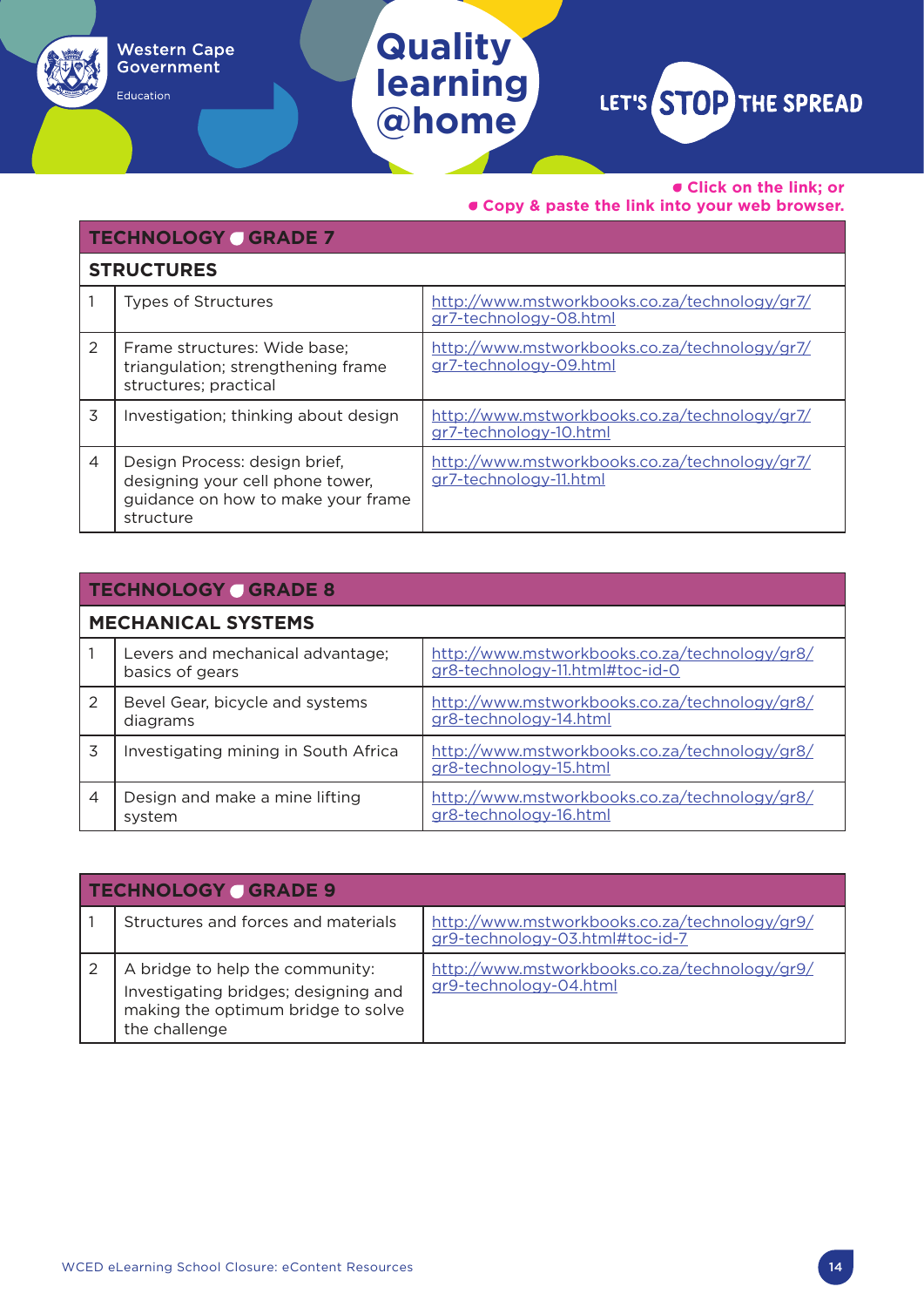Education

### **Quality learning @home**

LET'S STOP THE SPREAD

• **Click on the link; or** 

|                | <b>TECHNOLOGY GRADE 7</b>                                                                                            |                                                                         |  |  |
|----------------|----------------------------------------------------------------------------------------------------------------------|-------------------------------------------------------------------------|--|--|
|                | <b>STRUCTURES</b>                                                                                                    |                                                                         |  |  |
|                | <b>Types of Structures</b>                                                                                           | http://www.mstworkbooks.co.za/technology/gr7/<br>gr7-technology-08.html |  |  |
| 2              | Frame structures: Wide base;<br>triangulation; strengthening frame<br>structures; practical                          | http://www.mstworkbooks.co.za/technology/gr7/<br>gr7-technology-09.html |  |  |
| 3              | Investigation; thinking about design                                                                                 | http://www.mstworkbooks.co.za/technology/gr7/<br>gr7-technology-10.html |  |  |
| $\overline{4}$ | Design Process: design brief,<br>designing your cell phone tower,<br>guidance on how to make your frame<br>structure | http://www.mstworkbooks.co.za/technology/gr7/<br>gr7-technology-11.html |  |  |

|                           | <b>TECHNOLOGY GRADE 8</b>                           |                                                                                  |  |
|---------------------------|-----------------------------------------------------|----------------------------------------------------------------------------------|--|
| <b>MECHANICAL SYSTEMS</b> |                                                     |                                                                                  |  |
|                           | Levers and mechanical advantage;<br>basics of gears | http://www.mstworkbooks.co.za/technology/gr8/<br>gr8-technology-11.html#toc-id-0 |  |
| $\mathcal{P}$             | Bevel Gear, bicycle and systems<br>diagrams         | http://www.mstworkbooks.co.za/technology/gr8/<br>gr8-technology-14.html          |  |
| 3                         | Investigating mining in South Africa                | http://www.mstworkbooks.co.za/technology/gr8/<br>gr8-technology-15.html          |  |
| $\overline{4}$            | Design and make a mine lifting<br>system            | http://www.mstworkbooks.co.za/technology/gr8/<br>gr8-technology-16.html          |  |

| <b>TECHNOLOGY GRADE 9</b>                                                                                                      |                                                                                  |  |
|--------------------------------------------------------------------------------------------------------------------------------|----------------------------------------------------------------------------------|--|
| Structures and forces and materials                                                                                            | http://www.mstworkbooks.co.za/technology/gr9/<br>gr9-technology-03.html#toc-id-7 |  |
| A bridge to help the community:<br>Investigating bridges; designing and<br>making the optimum bridge to solve<br>the challenge | http://www.mstworkbooks.co.za/technology/gr9/<br>gr9-technology-04.html          |  |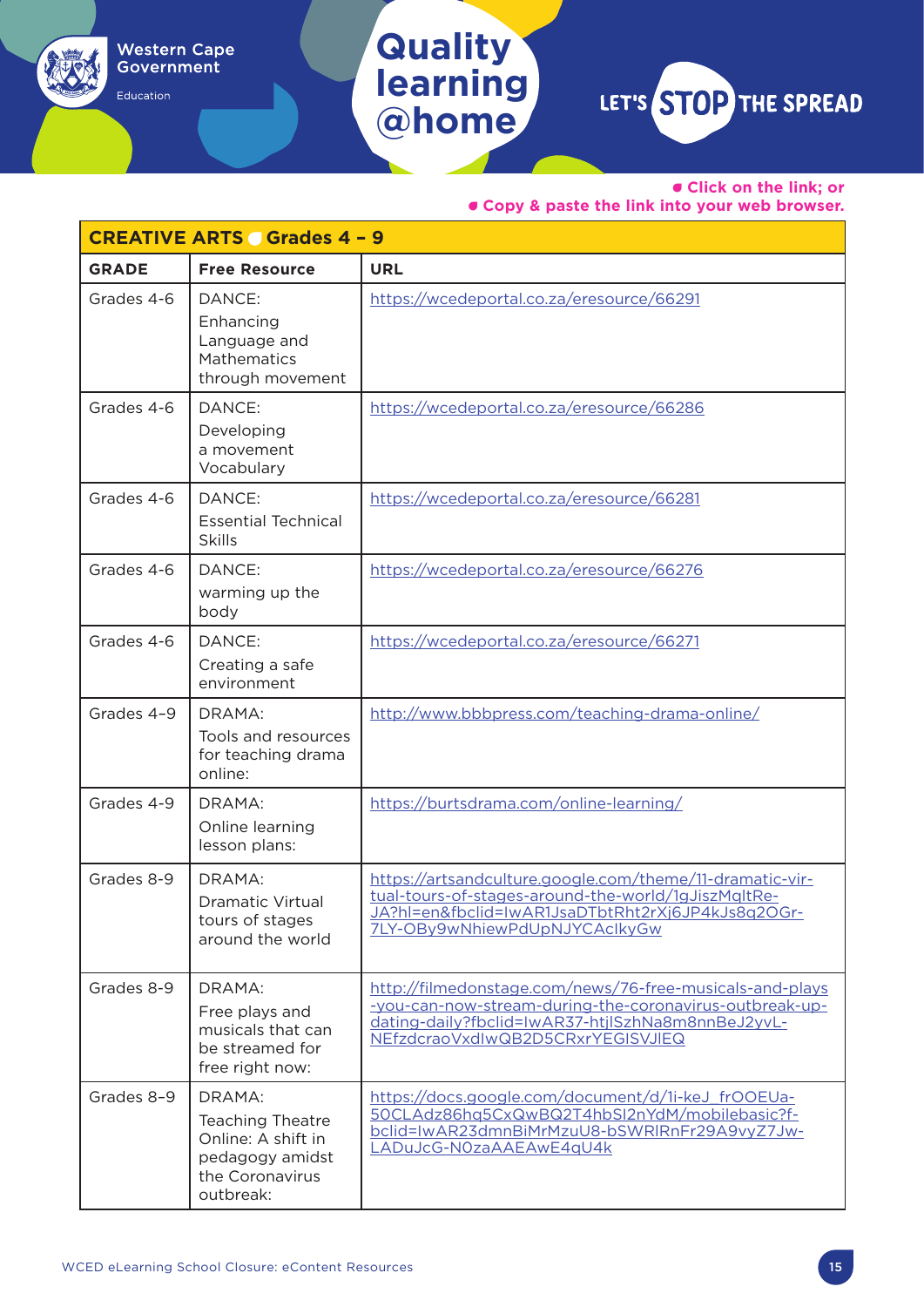### **Quality learning @home**

**Western Cape** Government

Education

LET'S STOP THE SPREAD

• **Click on the link; or** 

|              | <b>CREATIVE ARTS Grades 4 - 9</b>                                                                          |                                                                                                                                                                                                               |
|--------------|------------------------------------------------------------------------------------------------------------|---------------------------------------------------------------------------------------------------------------------------------------------------------------------------------------------------------------|
| <b>GRADE</b> | <b>Free Resource</b>                                                                                       | <b>URL</b>                                                                                                                                                                                                    |
| Grades 4-6   | DANCE:<br>Enhancing<br>Language and<br>Mathematics<br>through movement                                     | https://wcedeportal.co.za/eresource/66291                                                                                                                                                                     |
| Grades 4-6   | DANCE:<br>Developing<br>a movement<br>Vocabulary                                                           | https://wcedeportal.co.za/eresource/66286                                                                                                                                                                     |
| Grades 4-6   | DANCE:<br><b>Essential Technical</b><br><b>Skills</b>                                                      | https://wcedeportal.co.za/eresource/66281                                                                                                                                                                     |
| Grades 4-6   | DANCE:<br>warming up the<br>body                                                                           | https://wcedeportal.co.za/eresource/66276                                                                                                                                                                     |
| Grades 4-6   | DANCE:<br>Creating a safe<br>environment                                                                   | https://wcedeportal.co.za/eresource/66271                                                                                                                                                                     |
| Grades 4-9   | DRAMA:<br>Tools and resources<br>for teaching drama<br>online:                                             | http://www.bbbpress.com/teaching-drama-online/                                                                                                                                                                |
| Grades 4-9   | DRAMA:<br>Online learning<br>lesson plans:                                                                 | https://burtsdrama.com/online-learning/                                                                                                                                                                       |
| Grades 8-9   | DRAMA:<br>Dramatic Virtual<br>tours of stages<br>around the world                                          | https://artsandculture.google.com/theme/11-dramatic-vir-<br>tual-tours-of-stages-around-the-world/1gJiszMqltRe-<br>JA?hl=en&fbclid=IwAR1JsaDTbtRht2rXj6JP4kJs8q2OGr-<br>7LY-OBy9wNhiewPdUpNJYCAclkyGw         |
| Grades 8-9   | DRAMA:<br>Free plays and<br>musicals that can<br>be streamed for<br>free right now:                        | http://filmedonstage.com/news/76-free-musicals-and-plays<br>-you-can-now-stream-during-the-coronavirus-outbreak-up-<br>dating-daily?fbclid=IwAR37-htjlSzhNa8m8nnBeJ2yvL-<br>NEfzdcraoVxdIwQB2D5CRxrYEGISVJIEQ |
| Grades 8-9   | DRAMA:<br><b>Teaching Theatre</b><br>Online: A shift in<br>pedagogy amidst<br>the Coronavirus<br>outbreak: | https://docs.google.com/document/d/1i-keJ frOOEUa-<br>50CLAdz86hq5CxQwBQ2T4hbSI2nYdM/mobilebasic?f-<br>bclid=IwAR23dmnBiMrMzuU8-bSWRlRnFr29A9vyZ7Jw-<br>LADuJcG-NOzaAAEAwE4qU4k                               |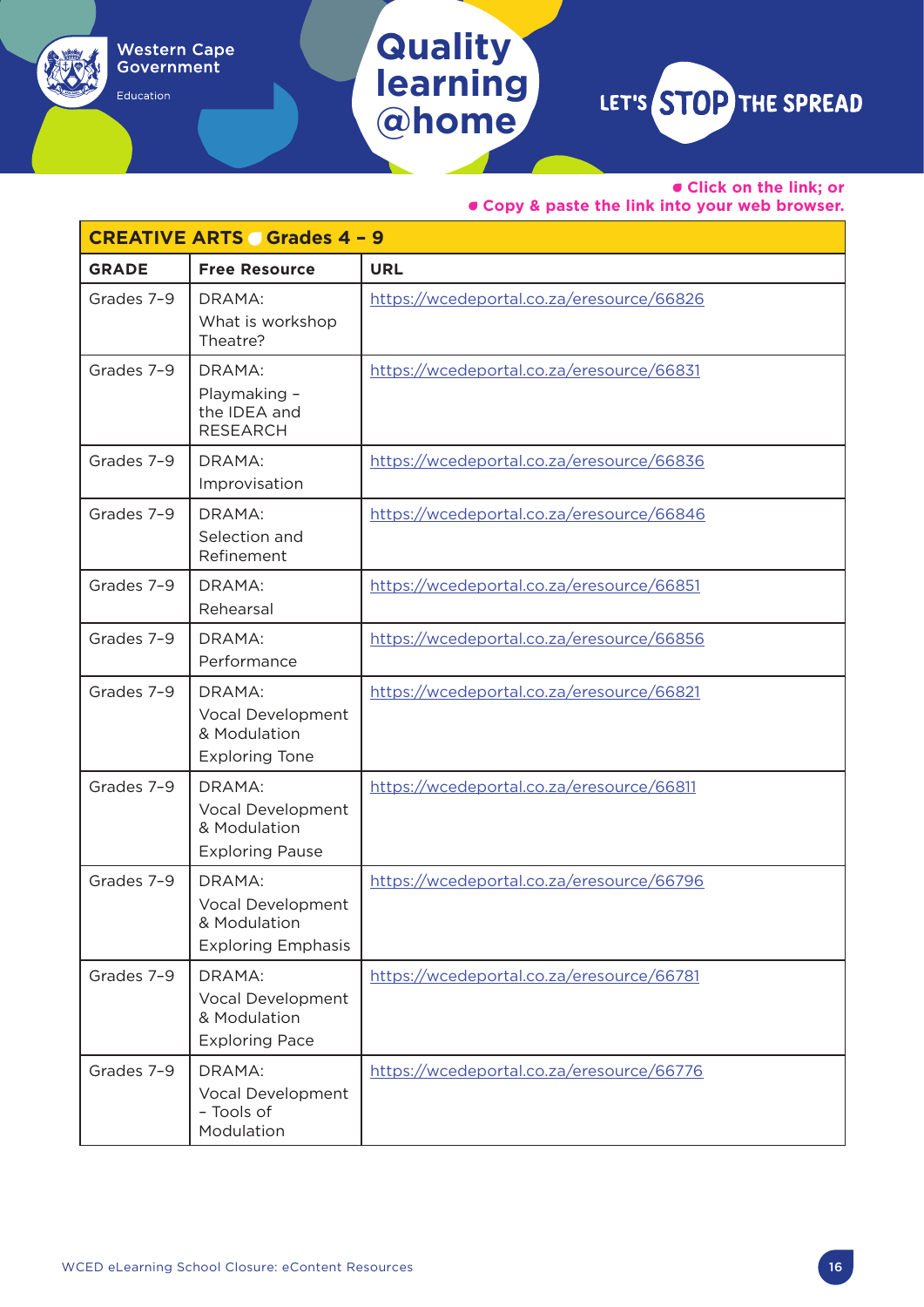Education

**learning @home**

**Quality** 

LET'S STOP THE SPREAD

• **Click on the link; or** 

|              | <b>CREATIVE ARTS Grades 4 - 9</b>                                        |                                           |
|--------------|--------------------------------------------------------------------------|-------------------------------------------|
| <b>GRADE</b> | <b>Free Resource</b>                                                     | <b>URL</b>                                |
| Grades 7-9   | DRAMA:<br>What is workshop<br>Theatre?                                   | https://wcedeportal.co.za/eresource/66826 |
| Grades 7-9   | DRAMA:<br>Playmaking -<br>the IDEA and<br><b>RESEARCH</b>                | https://wcedeportal.co.za/eresource/66831 |
| Grades 7-9   | DRAMA:<br>Improvisation                                                  | https://wcedeportal.co.za/eresource/66836 |
| Grades 7-9   | DRAMA:<br>Selection and<br>Refinement                                    | https://wcedeportal.co.za/eresource/66846 |
| Grades 7-9   | DRAMA:<br>Rehearsal                                                      | https://wcedeportal.co.za/eresource/66851 |
| Grades 7-9   | DRAMA:<br>Performance                                                    | https://wcedeportal.co.za/eresource/66856 |
| Grades 7-9   | DRAMA:<br>Vocal Development<br>& Modulation<br><b>Exploring Tone</b>     | https://wcedeportal.co.za/eresource/66821 |
| Grades 7-9   | DRAMA:<br>Vocal Development<br>& Modulation<br><b>Exploring Pause</b>    | https://wcedeportal.co.za/eresource/66811 |
| Grades 7-9   | DRAMA:<br>Vocal Development<br>& Modulation<br><b>Exploring Emphasis</b> | https://wcedeportal.co.za/eresource/66796 |
| Grades 7-9   | DRAMA:<br>Vocal Development<br>& Modulation<br><b>Exploring Pace</b>     | https://wcedeportal.co.za/eresource/66781 |
| Grades 7-9   | DRAMA:<br>Vocal Development<br>- Tools of<br>Modulation                  | https://wcedeportal.co.za/eresource/66776 |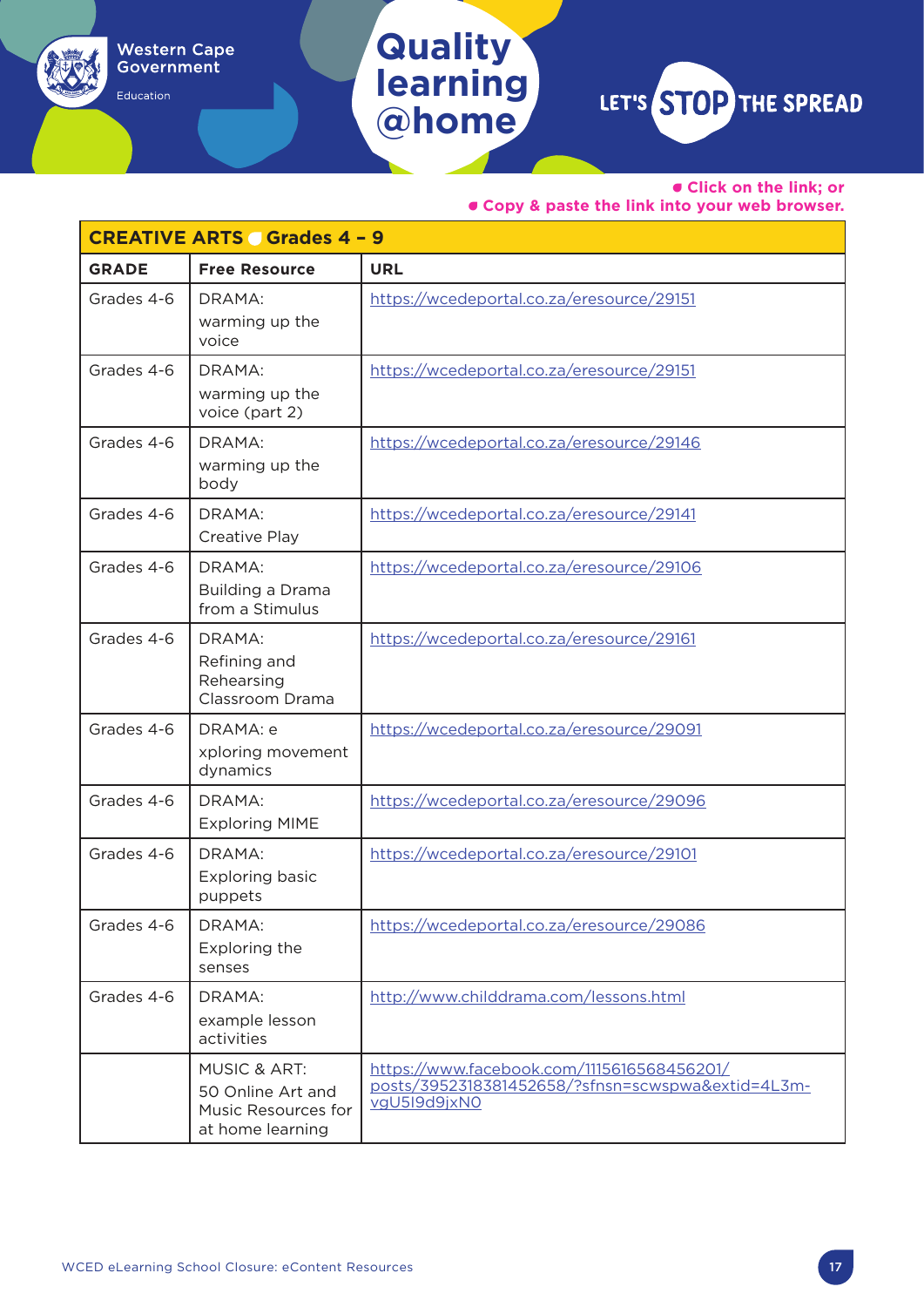### **Quality learning** LET'S STOP THE SPREAD

**@home**

Western Cape<br>Government

Education

• **Click on the link; or** 

|              | <b>CREATIVE ARTS Grades 4 - 9</b>                                                       |                                                                                                                 |  |
|--------------|-----------------------------------------------------------------------------------------|-----------------------------------------------------------------------------------------------------------------|--|
| <b>GRADE</b> | <b>Free Resource</b>                                                                    | <b>URL</b>                                                                                                      |  |
| Grades 4-6   | DRAMA:<br>warming up the<br>voice                                                       | https://wcedeportal.co.za/eresource/29151                                                                       |  |
| Grades 4-6   | DRAMA:<br>warming up the<br>voice (part 2)                                              | https://wcedeportal.co.za/eresource/29151                                                                       |  |
| Grades 4-6   | DRAMA:<br>warming up the<br>body                                                        | https://wcedeportal.co.za/eresource/29146                                                                       |  |
| Grades 4-6   | DRAMA:<br>Creative Play                                                                 | https://wcedeportal.co.za/eresource/29141                                                                       |  |
| Grades 4-6   | DRAMA:<br>Building a Drama<br>from a Stimulus                                           | https://wcedeportal.co.za/eresource/29106                                                                       |  |
| Grades 4-6   | DRAMA:<br>Refining and<br>Rehearsing<br>Classroom Drama                                 | https://wcedeportal.co.za/eresource/29161                                                                       |  |
| Grades 4-6   | DRAMA: e<br>xploring movement<br>dynamics                                               | https://wcedeportal.co.za/eresource/29091                                                                       |  |
| Grades 4-6   | DRAMA:<br><b>Exploring MIME</b>                                                         | https://wcedeportal.co.za/eresource/29096                                                                       |  |
| Grades 4-6   | DRAMA:<br><b>Exploring basic</b><br>puppets                                             | https://wcedeportal.co.za/eresource/29101                                                                       |  |
| Grades 4-6   | DRAMA:<br>Exploring the<br>senses                                                       | https://wcedeportal.co.za/eresource/29086                                                                       |  |
| Grades 4-6   | DRAMA:<br>example lesson<br>activities                                                  | http://www.childdrama.com/lessons.html                                                                          |  |
|              | <b>MUSIC &amp; ART:</b><br>50 Online Art and<br>Music Resources for<br>at home learning | https://www.facebook.com/1115616568456201/<br>posts/3952318381452658/?sfnsn=scwspwa&extid=4L3m-<br>vgU5l9d9jxN0 |  |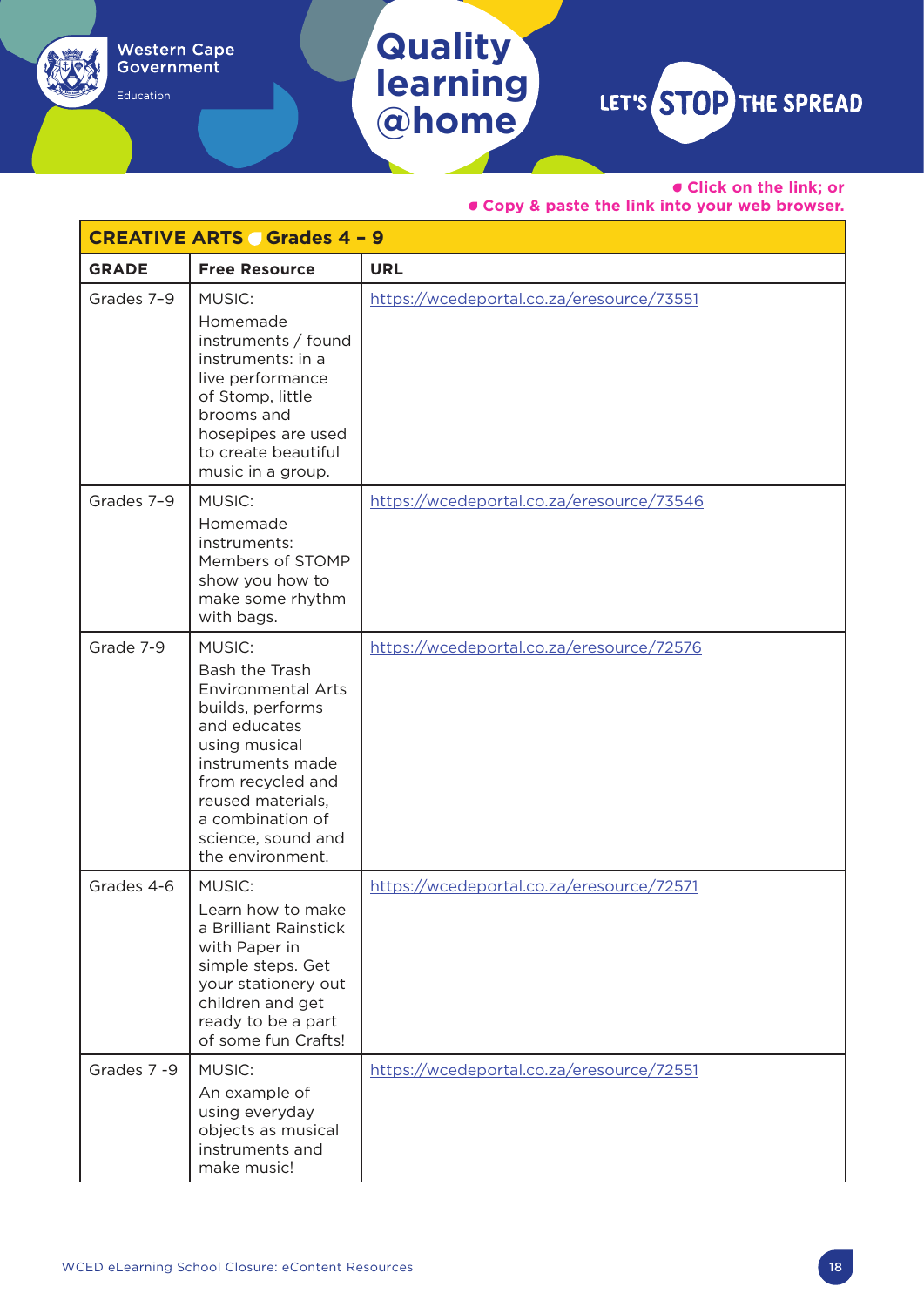### **Quality learning @home**

Western Cape<br>Government

Education

LET'S STOP THE SPREAD

• **Click on the link; or** 

|              | <b>CREATIVE ARTS Grades 4 - 9</b>                                                                                                                                                                                                             |                                           |  |  |
|--------------|-----------------------------------------------------------------------------------------------------------------------------------------------------------------------------------------------------------------------------------------------|-------------------------------------------|--|--|
| <b>GRADE</b> | <b>Free Resource</b>                                                                                                                                                                                                                          | <b>URL</b>                                |  |  |
| Grades 7-9   | MUSIC:<br>Homemade<br>instruments / found<br>instruments: in a<br>live performance<br>of Stomp, little<br>brooms and<br>hosepipes are used<br>to create beautiful<br>music in a group.                                                        | https://wcedeportal.co.za/eresource/73551 |  |  |
| Grades 7-9   | <b>MUSIC:</b><br>Homemade<br>instruments:<br>Members of STOMP<br>show you how to<br>make some rhythm<br>with bags.                                                                                                                            | https://wcedeportal.co.za/eresource/73546 |  |  |
| Grade 7-9    | <b>MUSIC:</b><br>Bash the Trash<br><b>Environmental Arts</b><br>builds, performs<br>and educates<br>using musical<br>instruments made<br>from recycled and<br>reused materials,<br>a combination of<br>science, sound and<br>the environment. | https://wcedeportal.co.za/eresource/72576 |  |  |
| Grades 4-6   | <b>MUSIC:</b><br>Learn how to make<br>a Brilliant Rainstick<br>with Paper in<br>simple steps. Get<br>your stationery out<br>children and get<br>ready to be a part<br>of some fun Crafts!                                                     | https://wcedeportal.co.za/eresource/72571 |  |  |
| Grades 7-9   | <b>MUSIC:</b><br>An example of<br>using everyday<br>objects as musical<br>instruments and<br>make music!                                                                                                                                      | https://wcedeportal.co.za/eresource/72551 |  |  |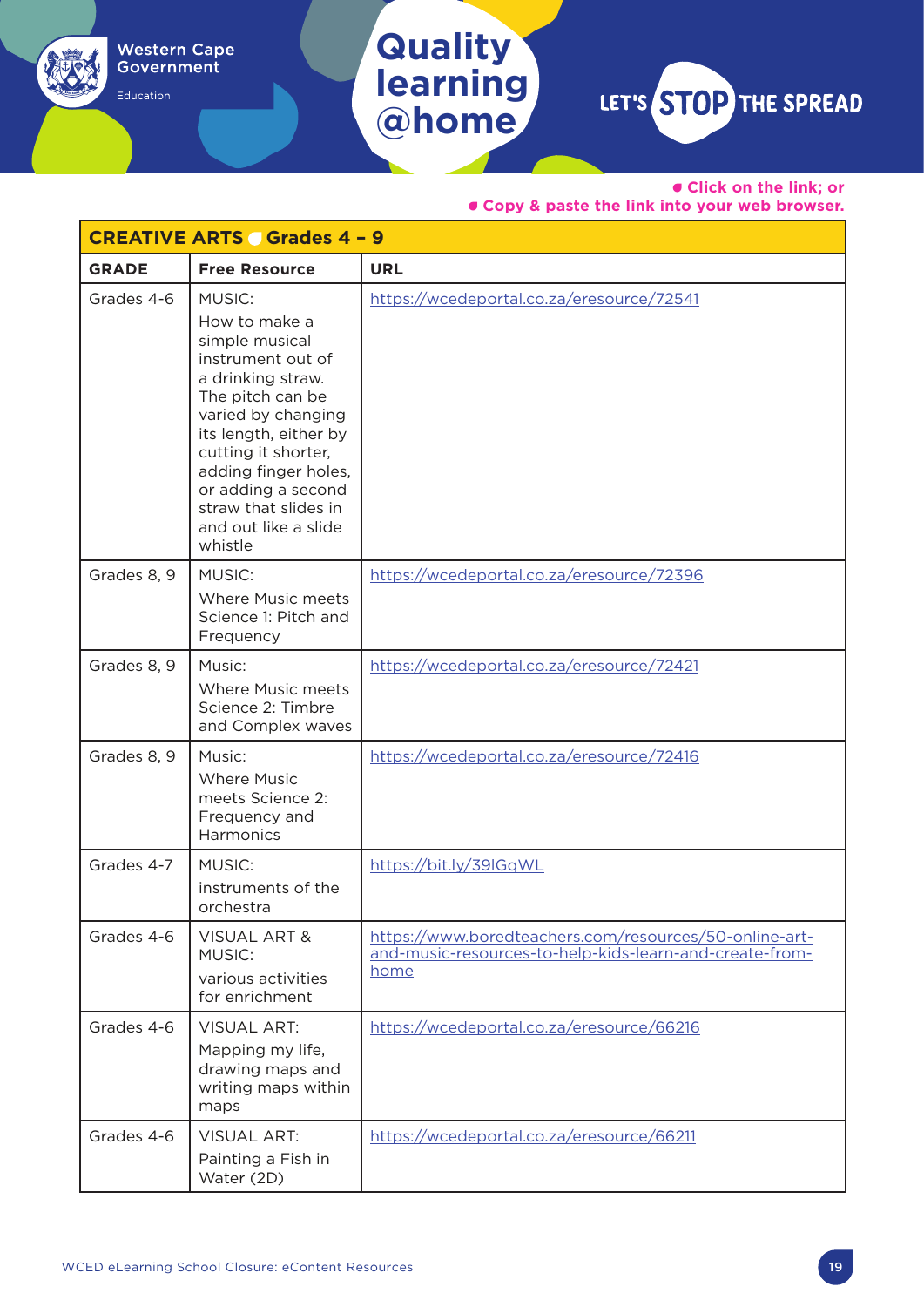Education

**learning @home**

**Quality** 

LET'S STOP THE SPREAD

• **Click on the link; or** 

| <b>CREATIVE ARTS Grades 4 - 9</b> |                                                                                                                                                                                                                                                                                               |                                                                                                                           |
|-----------------------------------|-----------------------------------------------------------------------------------------------------------------------------------------------------------------------------------------------------------------------------------------------------------------------------------------------|---------------------------------------------------------------------------------------------------------------------------|
| <b>GRADE</b>                      | <b>Free Resource</b>                                                                                                                                                                                                                                                                          | <b>URL</b>                                                                                                                |
| Grades 4-6                        | <b>MUSIC:</b><br>How to make a<br>simple musical<br>instrument out of<br>a drinking straw.<br>The pitch can be<br>varied by changing<br>its length, either by<br>cutting it shorter,<br>adding finger holes,<br>or adding a second<br>straw that slides in<br>and out like a slide<br>whistle | https://wcedeportal.co.za/eresource/72541                                                                                 |
| Grades 8, 9                       | <b>MUSIC:</b><br>Where Music meets<br>Science 1: Pitch and<br>Frequency                                                                                                                                                                                                                       | https://wcedeportal.co.za/eresource/72396                                                                                 |
| Grades 8, 9                       | Music:<br>Where Music meets<br>Science 2: Timbre<br>and Complex waves                                                                                                                                                                                                                         | https://wcedeportal.co.za/eresource/72421                                                                                 |
| Grades 8, 9                       | Music:<br><b>Where Music</b><br>meets Science 2:<br>Frequency and<br>Harmonics                                                                                                                                                                                                                | https://wcedeportal.co.za/eresource/72416                                                                                 |
| Grades 4-7                        | <b>MUSIC:</b><br>instruments of the<br>orchestra                                                                                                                                                                                                                                              | https://bit.ly/39IGqWL                                                                                                    |
| Grades 4-6                        | <b>VISUAL ART &amp;</b><br><b>MUSIC:</b><br>various activities<br>for enrichment                                                                                                                                                                                                              | https://www.boredteachers.com/resources/50-online-art-<br>and-music-resources-to-help-kids-learn-and-create-from-<br>home |
| Grades 4-6                        | <b>VISUAL ART:</b><br>Mapping my life,<br>drawing maps and<br>writing maps within<br>maps                                                                                                                                                                                                     | https://wcedeportal.co.za/eresource/66216                                                                                 |
| Grades 4-6                        | <b>VISUAL ART:</b><br>Painting a Fish in<br>Water (2D)                                                                                                                                                                                                                                        | https://wcedeportal.co.za/eresource/66211                                                                                 |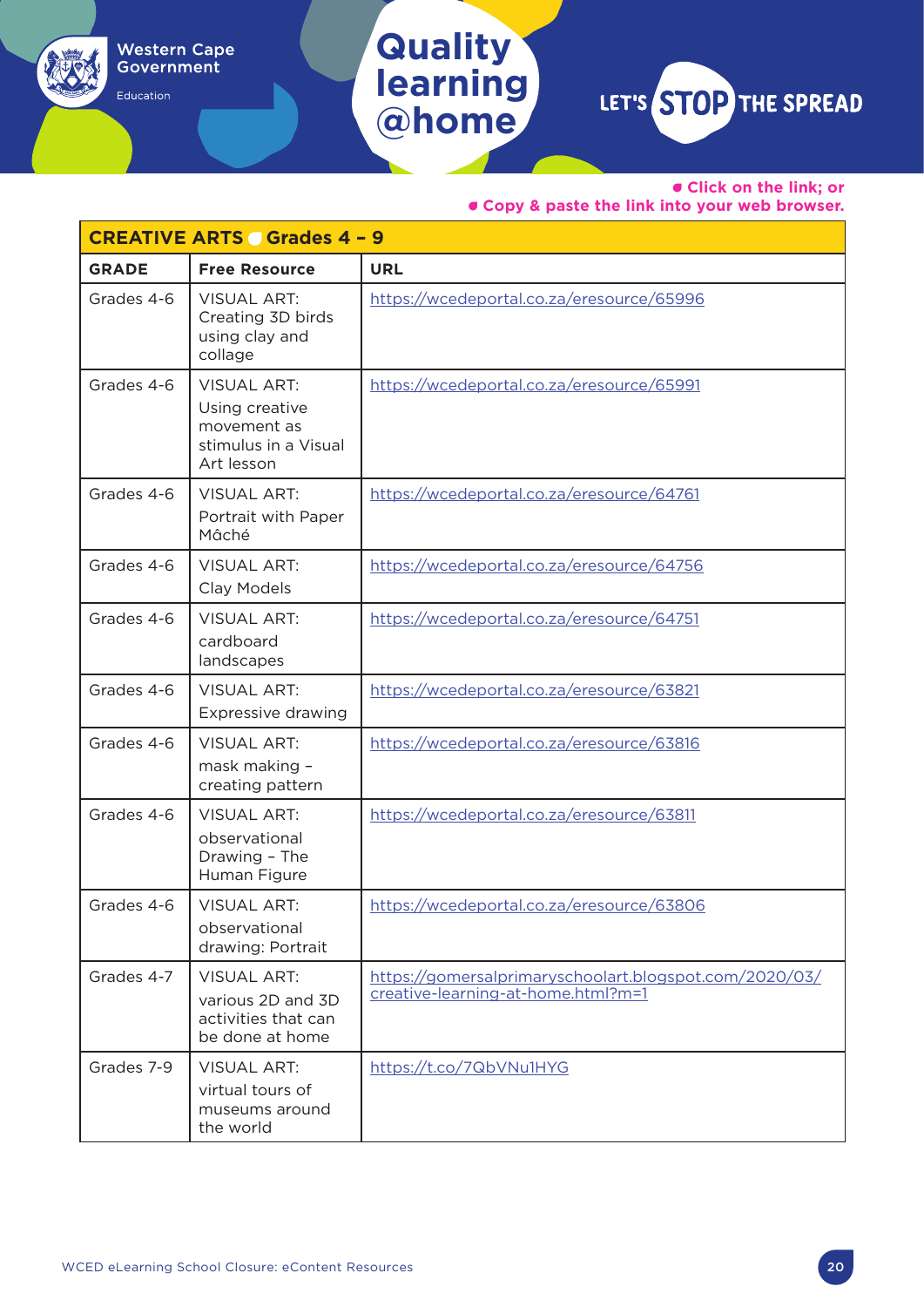## **Quality learning**

Western Cape<br>Government

Education

**@home**

# LET'S STOP THE SPREAD

• **Click on the link; or** 

|              | <b>CREATIVE ARTS Grades 4 - 9</b>                                                         |                                                                                              |  |  |
|--------------|-------------------------------------------------------------------------------------------|----------------------------------------------------------------------------------------------|--|--|
| <b>GRADE</b> | <b>Free Resource</b>                                                                      | <b>URL</b>                                                                                   |  |  |
| Grades 4-6   | <b>VISUAL ART:</b><br>Creating 3D birds<br>using clay and<br>collage                      | https://wcedeportal.co.za/eresource/65996                                                    |  |  |
| Grades 4-6   | <b>VISUAL ART:</b><br>Using creative<br>movement as<br>stimulus in a Visual<br>Art lesson | https://wcedeportal.co.za/eresource/65991                                                    |  |  |
| Grades 4-6   | <b>VISUAL ART:</b><br>Portrait with Paper<br>Mâché                                        | https://wcedeportal.co.za/eresource/64761                                                    |  |  |
| Grades 4-6   | <b>VISUAL ART:</b><br>Clay Models                                                         | https://wcedeportal.co.za/eresource/64756                                                    |  |  |
| Grades 4-6   | <b>VISUAL ART:</b><br>cardboard<br>landscapes                                             | https://wcedeportal.co.za/eresource/64751                                                    |  |  |
| Grades 4-6   | <b>VISUAL ART:</b><br>Expressive drawing                                                  | https://wcedeportal.co.za/eresource/63821                                                    |  |  |
| Grades 4-6   | <b>VISUAL ART:</b><br>mask making -<br>creating pattern                                   | https://wcedeportal.co.za/eresource/63816                                                    |  |  |
| Grades 4-6   | <b>VISUAL ART:</b><br>observational<br>Drawing - The<br>Human Figure                      | https://wcedeportal.co.za/eresource/63811                                                    |  |  |
| Grades 4-6   | <b>VISUAL ART:</b><br>observational<br>drawing: Portrait                                  | https://wcedeportal.co.za/eresource/63806                                                    |  |  |
| Grades 4-7   | <b>VISUAL ART:</b><br>various 2D and 3D<br>activities that can<br>be done at home         | https://gomersalprimaryschoolart.blogspot.com/2020/03/<br>creative-learning-at-home.html?m=1 |  |  |
| Grades 7-9   | <b>VISUAL ART:</b><br>virtual tours of<br>museums around<br>the world                     | https://t.co/7QbVNu1HYG                                                                      |  |  |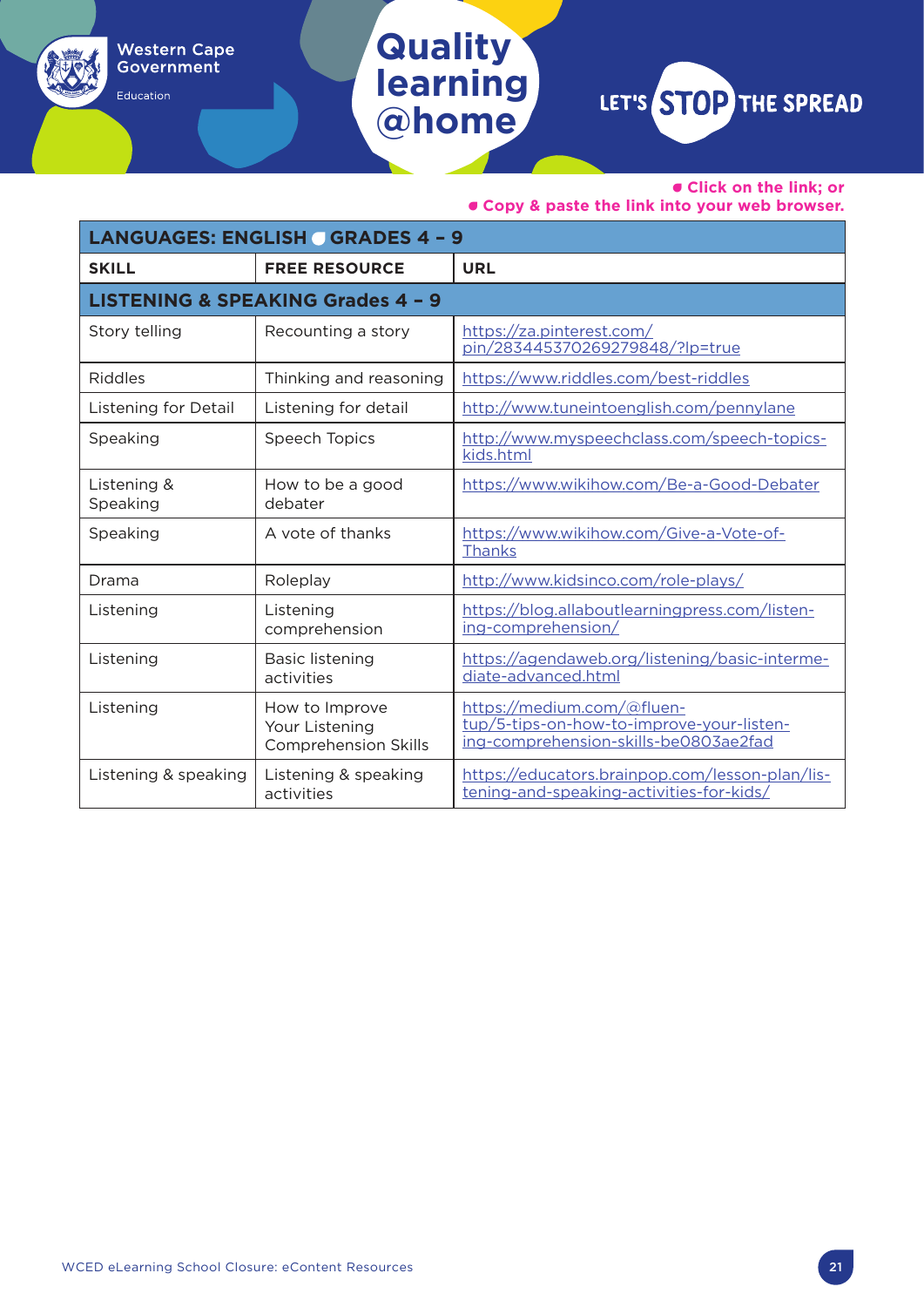#### • **Click on the link; or**

• **Copy & paste the link into your web browser.**

| <b>LANGUAGES: ENGLISH GRADES 4 - 9</b> |                                                                 |                                                                                                                  |  |
|----------------------------------------|-----------------------------------------------------------------|------------------------------------------------------------------------------------------------------------------|--|
| <b>SKILL</b>                           | <b>FREE RESOURCE</b>                                            | <b>URL</b>                                                                                                       |  |
|                                        | <b>LISTENING &amp; SPEAKING Grades 4 - 9</b>                    |                                                                                                                  |  |
| Story telling                          | Recounting a story                                              | https://za.pinterest.com/<br>pin/283445370269279848/?lp=true                                                     |  |
| Riddles                                | Thinking and reasoning                                          | https://www.riddles.com/best-riddles                                                                             |  |
| Listening for Detail                   | Listening for detail                                            | http://www.tuneintoenglish.com/pennylane                                                                         |  |
| Speaking                               | Speech Topics                                                   | http://www.myspeechclass.com/speech-topics-<br>kids.html                                                         |  |
| Listening &<br>Speaking                | How to be a good<br>debater                                     | https://www.wikihow.com/Be-a-Good-Debater                                                                        |  |
| Speaking                               | A vote of thanks                                                | https://www.wikihow.com/Give-a-Vote-of-<br>Thanks                                                                |  |
| Drama                                  | Roleplay                                                        | http://www.kidsinco.com/role-plays/                                                                              |  |
| Listening                              | Listening<br>comprehension                                      | https://blog.allaboutlearningpress.com/listen-<br>ing-comprehension/                                             |  |
| Listening                              | <b>Basic listening</b><br>activities                            | https://agendaweb.org/listening/basic-interme-<br>diate-advanced.html                                            |  |
| Listening                              | How to Improve<br>Your Listening<br><b>Comprehension Skills</b> | https://medium.com/@fluen-<br>tup/5-tips-on-how-to-improve-your-listen-<br>ing-comprehension-skills-be0803ae2fad |  |
| Listening & speaking                   | Listening & speaking<br>activities                              | https://educators.brainpop.com/lesson-plan/lis-<br>tening-and-speaking-activities-for-kids/                      |  |

**Quality** 

Western Cape<br>Government

Education

**learning**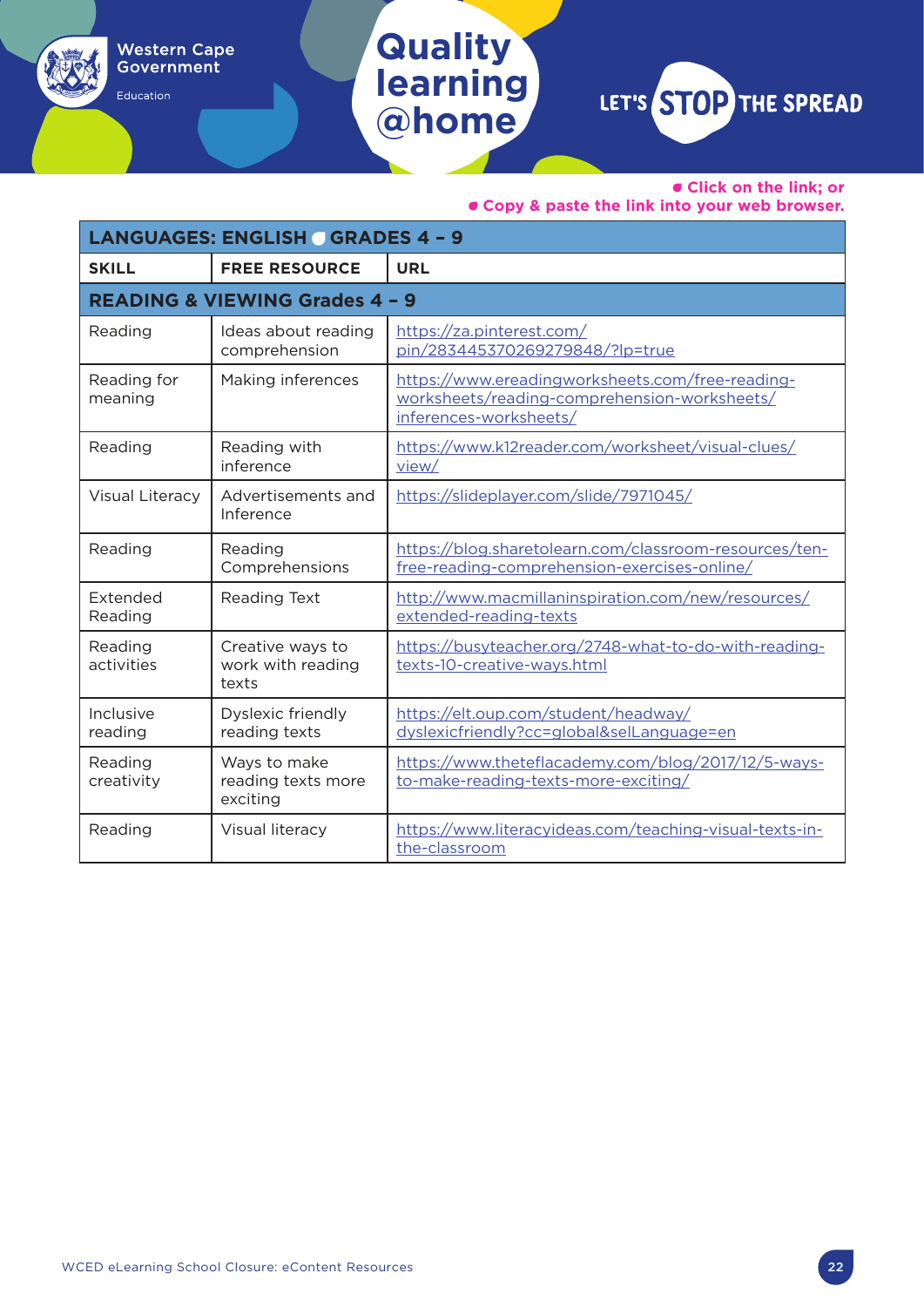• **Click on the link; or** 

• **Copy & paste the link into your web browser.**

| <b>LANGUAGES: ENGLISH GRADES 4 - 9</b> |                                                |                                                                                                                            |  |
|----------------------------------------|------------------------------------------------|----------------------------------------------------------------------------------------------------------------------------|--|
| <b>SKILL</b>                           | <b>FREE RESOURCE</b>                           | <b>URL</b>                                                                                                                 |  |
|                                        | <b>READING &amp; VIEWING Grades 4 - 9</b>      |                                                                                                                            |  |
| Reading                                | Ideas about reading<br>comprehension           | https://za.pinterest.com/<br>pin/283445370269279848/?lp=true                                                               |  |
| Reading for<br>meaning                 | Making inferences                              | https://www.ereadingworksheets.com/free-reading-<br>worksheets/reading-comprehension-worksheets/<br>inferences-worksheets/ |  |
| Reading                                | Reading with<br>inference                      | https://www.k12reader.com/worksheet/visual-clues/<br>view/                                                                 |  |
| Visual Literacy                        | Advertisements and<br>Inference                | https://slideplayer.com/slide/7971045/                                                                                     |  |
| Reading                                | Reading<br>Comprehensions                      | https://blog.sharetolearn.com/classroom-resources/ten-<br>free-reading-comprehension-exercises-online/                     |  |
| Extended<br>Reading                    | Reading Text                                   | http://www.macmillaninspiration.com/new/resources/<br>extended-reading-texts                                               |  |
| Reading<br>activities                  | Creative ways to<br>work with reading<br>texts | https://busyteacher.org/2748-what-to-do-with-reading-<br>texts-10-creative-ways.html                                       |  |
| Inclusive<br>reading                   | Dyslexic friendly<br>reading texts             | https://elt.oup.com/student/headway/<br>dyslexicfriendly?cc=global&selLanguage=en                                          |  |
| Reading<br>creativity                  | Ways to make<br>reading texts more<br>exciting | https://www.theteflacademy.com/blog/2017/12/5-ways-<br>to-make-reading-texts-more-exciting/                                |  |
| Reading                                | Visual literacy                                | https://www.literacyideas.com/teaching-visual-texts-in-<br>the-classroom                                                   |  |

**Quality** 

Western Cape<br>Government

Education

**learning**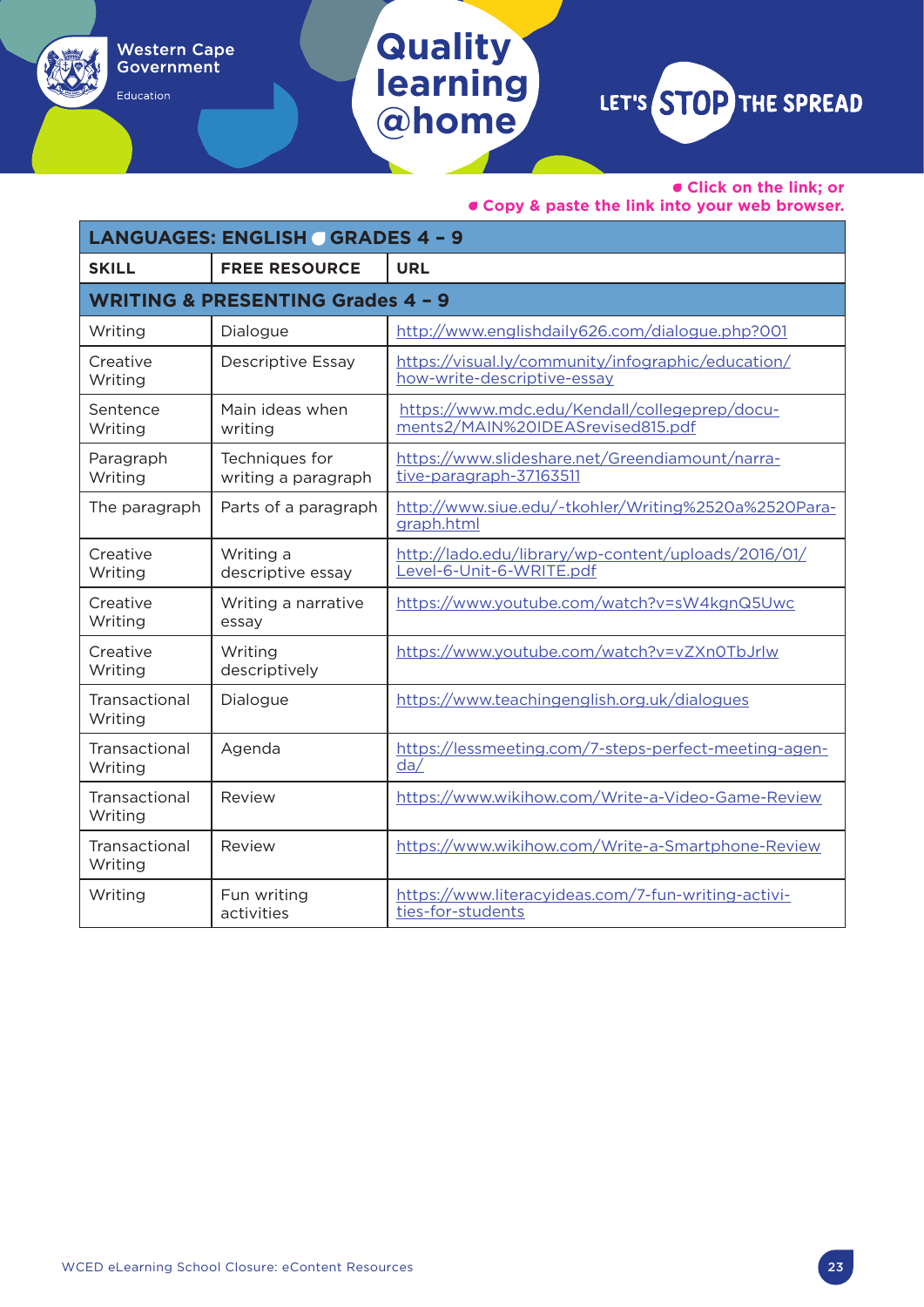• **Click on the link; or** 

• **Copy & paste the link into your web browser.**

| <b>LANGUAGES: ENGLISH GRADES 4 - 9</b> |                                              |                                                                                    |
|----------------------------------------|----------------------------------------------|------------------------------------------------------------------------------------|
| <b>SKILL</b>                           | <b>FREE RESOURCE</b>                         | <b>URL</b>                                                                         |
|                                        | <b>WRITING &amp; PRESENTING Grades 4 - 9</b> |                                                                                    |
| Writing                                | Dialogue                                     | http://www.englishdaily626.com/dialogue.php?001                                    |
| Creative<br>Writing                    | <b>Descriptive Essay</b>                     | https://visual.ly/community/infographic/education/<br>how-write-descriptive-essay  |
| Sentence<br>Writing                    | Main ideas when<br>writing                   | https://www.mdc.edu/Kendall/collegeprep/docu-<br>ments2/MAIN%20IDEASrevised815.pdf |
| Paragraph<br>Writing                   | Techniques for<br>writing a paragraph        | https://www.slideshare.net/Greendiamount/narra-<br>tive-paragraph-37163511         |
| The paragraph                          | Parts of a paragraph                         | http://www.siue.edu/~tkohler/Writing%2520a%2520Para-<br>graph.html                 |
| Creative<br>Writing                    | Writing a<br>descriptive essay               | http://lado.edu/library/wp-content/uploads/2016/01/<br>Level-6-Unit-6-WRITE.pdf    |
| Creative<br>Writing                    | Writing a narrative<br>essay                 | https://www.youtube.com/watch?v=sW4kgnQ5Uwc                                        |
| Creative<br>Writing                    | Writing<br>descriptively                     | https://www.youtube.com/watch?v=vZXn0TbJrlw                                        |
| Transactional<br>Writing               | Dialogue                                     | https://www.teachingenglish.org.uk/dialogues                                       |
| Transactional<br>Writing               | Agenda                                       | https://lessmeeting.com/7-steps-perfect-meeting-agen-<br>da/                       |
| Transactional<br>Writing               | Review                                       | https://www.wikihow.com/Write-a-Video-Game-Review                                  |
| Transactional<br>Writing               | Review                                       | https://www.wikihow.com/Write-a-Smartphone-Review                                  |
| Writing                                | Fun writing<br>activities                    | https://www.literacyideas.com/7-fun-writing-activi-<br>ties-for-students           |

**Quality** 

Western Cape<br>Government

Education

水

**learning**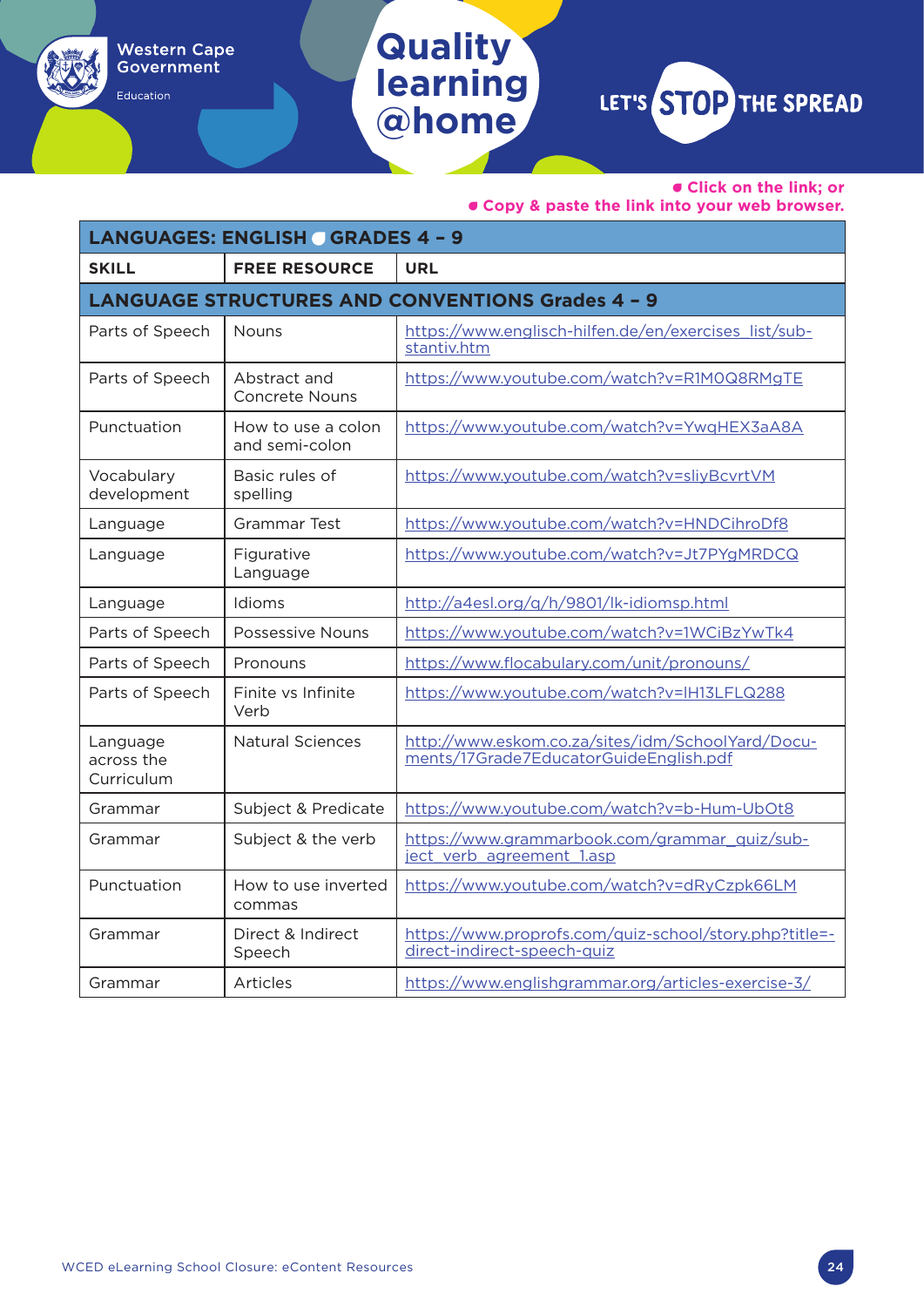#### • **Click on the link; or**

• **Copy & paste the link into your web browser.**

| <b>LANGUAGES: ENGLISH GRADES 4 - 9</b> |                                       |                                                                                             |
|----------------------------------------|---------------------------------------|---------------------------------------------------------------------------------------------|
| <b>SKILL</b>                           | <b>FREE RESOURCE</b>                  | <b>URL</b>                                                                                  |
|                                        |                                       | <b>LANGUAGE STRUCTURES AND CONVENTIONS Grades 4 - 9</b>                                     |
| Parts of Speech                        | <b>Nouns</b>                          | https://www.englisch-hilfen.de/en/exercises_list/sub-<br>stantiv.htm                        |
| Parts of Speech                        | Abstract and<br><b>Concrete Nouns</b> | https://www.youtube.com/watch?v=R1M0Q8RMgTE                                                 |
| Punctuation                            | How to use a colon<br>and semi-colon  | https://www.youtube.com/watch?v=YwqHEX3aA8A                                                 |
| Vocabulary<br>development              | Basic rules of<br>spelling            | https://www.youtube.com/watch?v=sliyBcvrtVM                                                 |
| Language                               | Grammar Test                          | https://www.youtube.com/watch?v=HNDCihroDf8                                                 |
| Language                               | Figurative<br>Language                | https://www.youtube.com/watch?v=Jt7PYgMRDCQ                                                 |
| Language                               | Idioms                                | http://a4esl.org/g/h/9801/lk-idiomsp.html                                                   |
| Parts of Speech                        | <b>Possessive Nouns</b>               | https://www.youtube.com/watch?v=1WCiBzYwTk4                                                 |
| Parts of Speech                        | Pronouns                              | https://www.flocabulary.com/unit/pronouns/                                                  |
| Parts of Speech                        | Finite vs Infinite<br>Verb            | https://www.youtube.com/watch?v=IH13LFLQ288                                                 |
| Language<br>across the<br>Curriculum   | <b>Natural Sciences</b>               | http://www.eskom.co.za/sites/idm/SchoolYard/Docu-<br>ments/17Grade7EducatorGuideEnglish.pdf |
| Grammar                                | Subject & Predicate                   | https://www.youtube.com/watch?v=b-Hum-UbOt8                                                 |
| Grammar                                | Subject & the verb                    | https://www.grammarbook.com/grammar_quiz/sub-<br>ject verb agreement 1.asp                  |
| Punctuation                            | How to use inverted<br>commas         | https://www.youtube.com/watch?v=dRyCzpk66LM                                                 |
| Grammar                                | Direct & Indirect<br>Speech           | https://www.proprofs.com/quiz-school/story.php?title=-<br>direct-indirect-speech-quiz       |
| Grammar                                | Articles                              | https://www.englishgrammar.org/articles-exercise-3/                                         |

**Quality** 

Western Cape<br>Government

Education

**learning**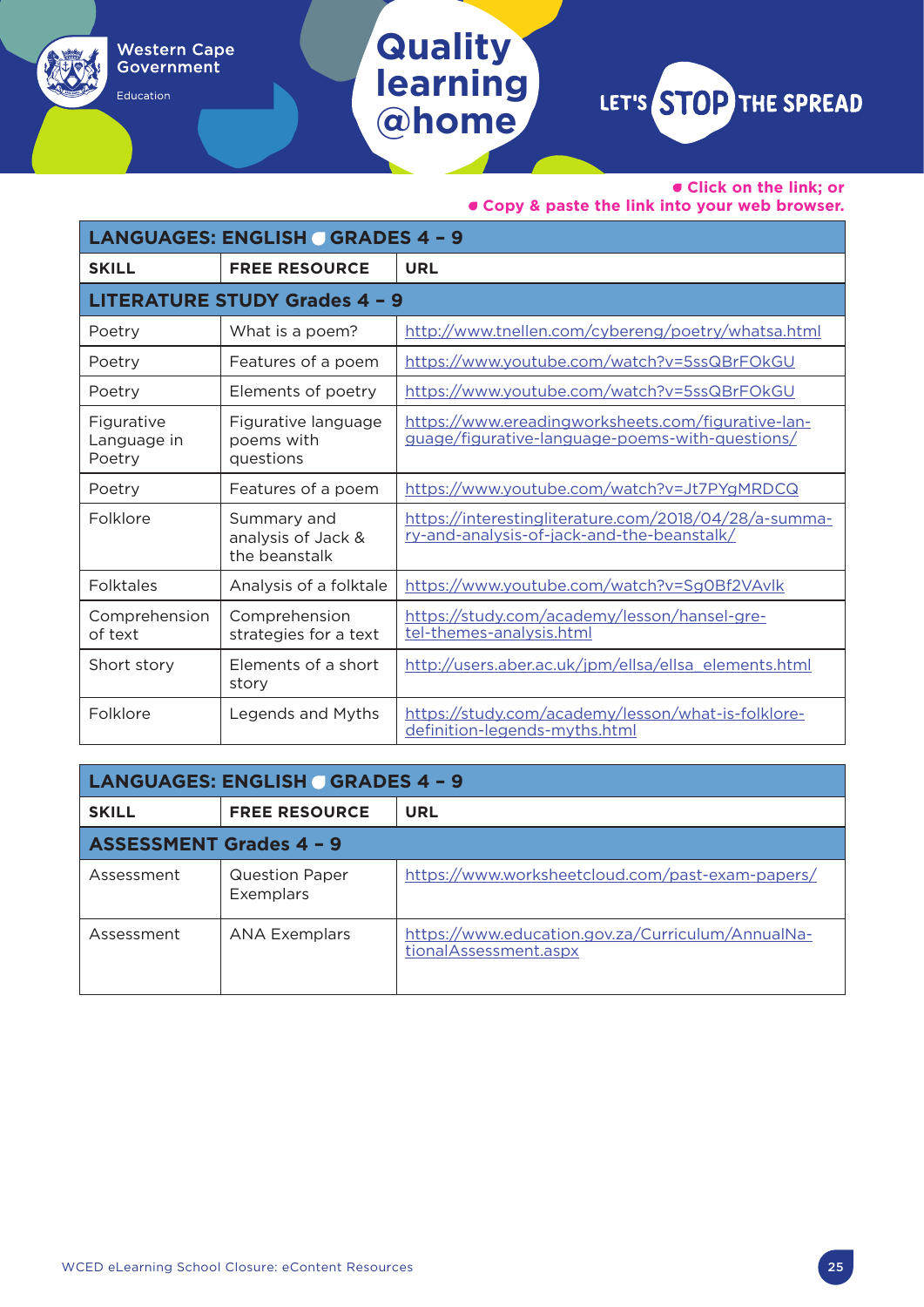#### • **Click on the link; or**

• **Copy & paste the link into your web browser.**

| <b>LANGUAGES: ENGLISH GRADES 4 - 9</b> |                                                    |                                                                                                       |
|----------------------------------------|----------------------------------------------------|-------------------------------------------------------------------------------------------------------|
| <b>SKILL</b>                           | <b>FREE RESOURCE</b>                               | <b>URL</b>                                                                                            |
|                                        | <b>LITERATURE STUDY Grades 4 - 9</b>               |                                                                                                       |
| Poetry                                 | What is a poem?                                    | http://www.tnellen.com/cybereng/poetry/whatsa.html                                                    |
| Poetry                                 | Features of a poem                                 | https://www.youtube.com/watch?v=5ssQBrFOkGU                                                           |
| Poetry                                 | Elements of poetry                                 | https://www.youtube.com/watch?v=5ssQBrFOkGU                                                           |
| Figurative<br>Language in<br>Poetry    | Figurative language<br>poems with<br>questions     | https://www.ereadingworksheets.com/figurative-lan-<br>guage/figurative-language-poems-with-questions/ |
| Poetry                                 | Features of a poem                                 | https://www.youtube.com/watch?v=Jt7PYgMRDCQ                                                           |
| Folklore                               | Summary and<br>analysis of Jack &<br>the beanstalk | https://interestingliterature.com/2018/04/28/a-summa-<br>ry-and-analysis-of-jack-and-the-beanstalk/   |
| <b>Folktales</b>                       | Analysis of a folktale                             | https://www.youtube.com/watch?v=Sg0Bf2VAvlk                                                           |
| Comprehension<br>of text               | Comprehension<br>strategies for a text             | https://study.com/academy/lesson/hansel-gre-<br>tel-themes-analysis.html                              |
| Short story                            | Elements of a short<br>story                       | http://users.aber.ac.uk/jpm/ellsa/ellsa elements.html                                                 |
| Folklore                               | Legends and Myths                                  | https://study.com/academy/lesson/what-is-folklore-<br>definition-legends-myths.html                   |

**Quality** 

Western Cape<br>Government

Education

**learning**

| <b>LANGUAGES: ENGLISH GRADES 4 - 9</b> |                                    |                                                                             |
|----------------------------------------|------------------------------------|-----------------------------------------------------------------------------|
| <b>SKILL</b>                           | <b>FREE RESOURCE</b>               | URL                                                                         |
| <b>ASSESSMENT Grades 4 - 9</b>         |                                    |                                                                             |
| Assessment                             | <b>Question Paper</b><br>Exemplars | https://www.worksheetcloud.com/past-exam-papers/                            |
| Assessment                             | <b>ANA Exemplars</b>               | https://www.education.gov.za/Curriculum/AnnualNa-<br>tional Assessment.aspx |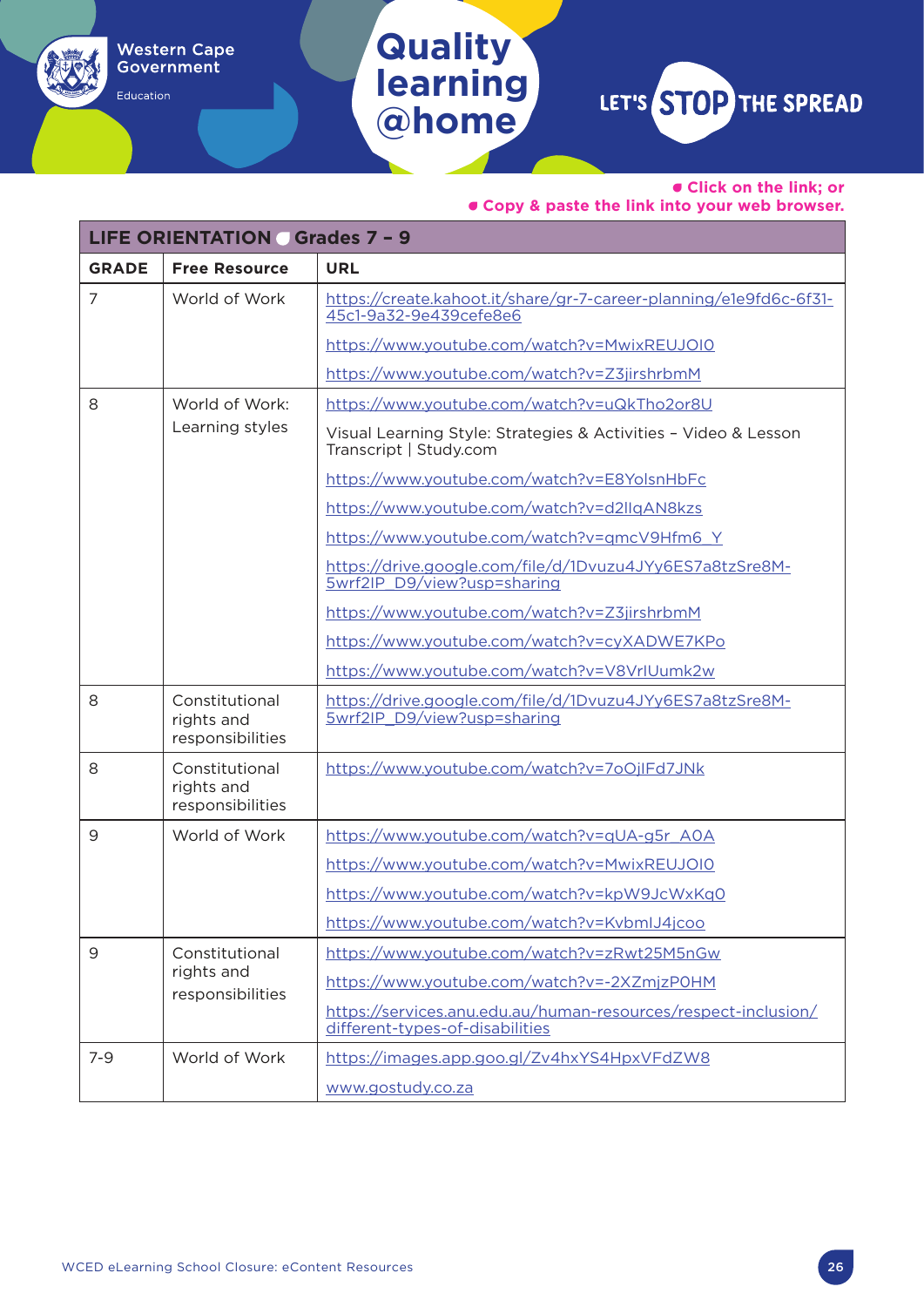• **Click on the link; or** 

#### • **Copy & paste the link into your web browser.**

| <b>LIFE ORIENTATION Grades 7 - 9</b> |                                                  |                                                                                                   |  |
|--------------------------------------|--------------------------------------------------|---------------------------------------------------------------------------------------------------|--|
| <b>GRADE</b>                         | <b>Free Resource</b>                             | <b>URL</b>                                                                                        |  |
| $\overline{7}$                       | World of Work                                    | https://create.kahoot.it/share/gr-7-career-planning/e1e9fd6c-6f31-<br>45c1-9a32-9e439cefe8e6      |  |
|                                      |                                                  | https://www.youtube.com/watch?v=MwixREUJOI0                                                       |  |
|                                      |                                                  | https://www.youtube.com/watch?v=Z3jirshrbmM                                                       |  |
| 8                                    | World of Work:                                   | https://www.youtube.com/watch?v=uQkTho2or8U                                                       |  |
|                                      | Learning styles                                  | Visual Learning Style: Strategies & Activities - Video & Lesson<br>Transcript   Study.com         |  |
|                                      |                                                  | https://www.youtube.com/watch?v=E8YolsnHbFc                                                       |  |
|                                      |                                                  | https://www.youtube.com/watch?v=d2llqAN8kzs                                                       |  |
|                                      |                                                  | https://www.youtube.com/watch?v=qmcV9Hfm6 Y                                                       |  |
|                                      |                                                  | https://drive.google.com/file/d/1Dvuzu4JYy6ES7a8tzSre8M-<br>5wrf2IP D9/view?usp=sharing           |  |
|                                      |                                                  | https://www.youtube.com/watch?v=Z3jirshrbmM                                                       |  |
|                                      |                                                  | https://www.youtube.com/watch?v=cyXADWE7KPo                                                       |  |
|                                      |                                                  | https://www.youtube.com/watch?v=V8VrIUumk2w                                                       |  |
| 8                                    | Constitutional<br>rights and<br>responsibilities | https://drive.google.com/file/d/1Dvuzu4JYy6ES7a8tzSre8M-<br>5wrf2IP D9/view?usp=sharing           |  |
| 8                                    | Constitutional<br>rights and<br>responsibilities | https://www.youtube.com/watch?v=7oOjlFd7JNk                                                       |  |
| 9                                    | World of Work                                    | https://www.youtube.com/watch?v=qUA-g5r_A0A                                                       |  |
|                                      |                                                  | https://www.youtube.com/watch?v=MwixREUJOI0                                                       |  |
|                                      |                                                  | https://www.youtube.com/watch?v=kpW9JcWxKq0                                                       |  |
|                                      |                                                  | https://www.youtube.com/watch?v=KvbmlJ4jcoo                                                       |  |
| $\overline{9}$                       | Constitutional                                   | https://www.youtube.com/watch?v=zRwt25M5nGw                                                       |  |
|                                      | rights and<br>responsibilities                   | https://www.youtube.com/watch?v=-2XZmjzP0HM                                                       |  |
|                                      |                                                  | https://services.anu.edu.au/human-resources/respect-inclusion/<br>different-types-of-disabilities |  |
| $7 - 9$                              | World of Work                                    | https://images.app.goo.gl/Zv4hxYS4HpxVFdZW8                                                       |  |
|                                      |                                                  | www.gostudy.co.za                                                                                 |  |

**Quality** 

**Western Cape** Government

Education

**learning**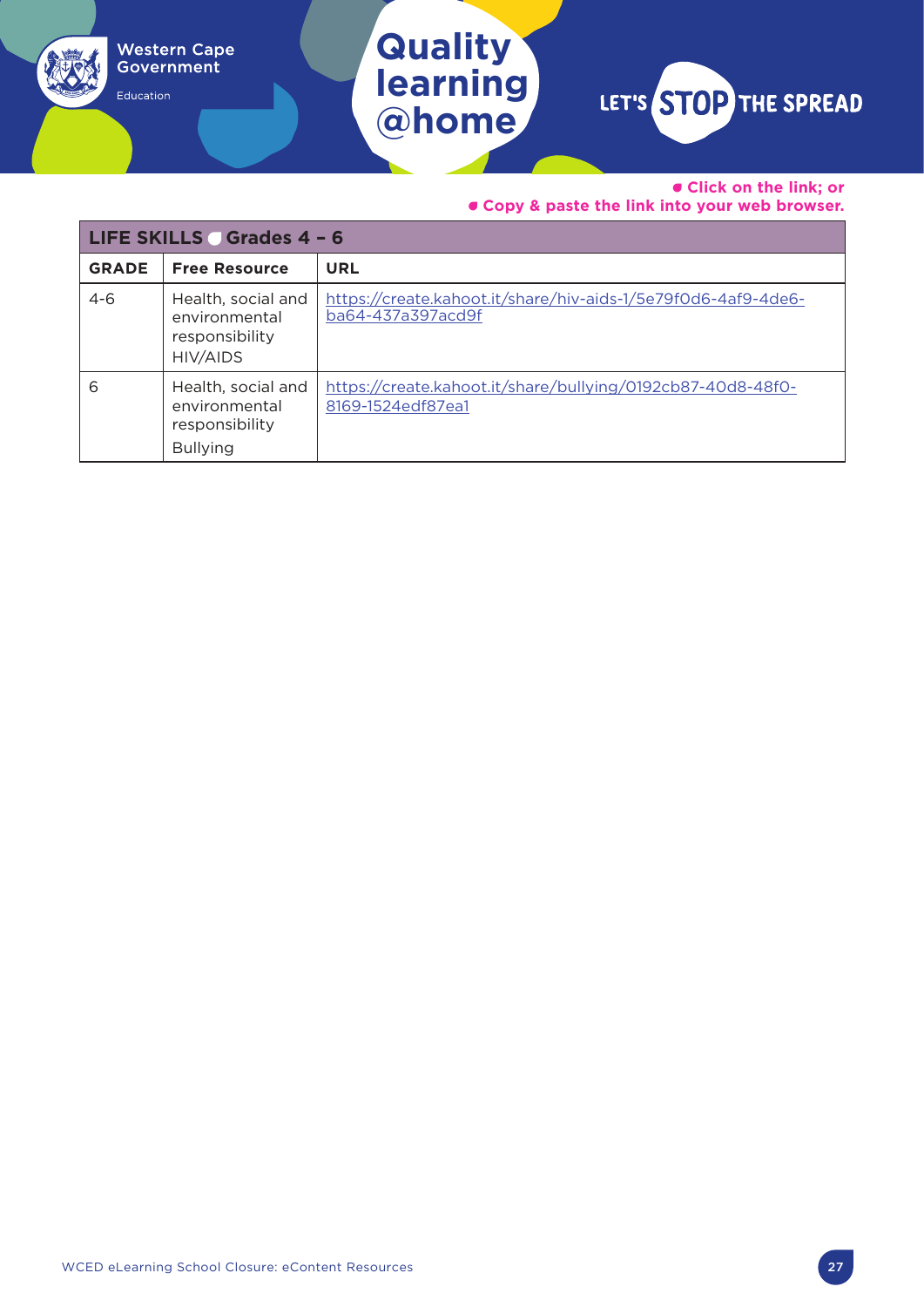• **Click on the link; or** 

• **Copy & paste the link into your web browser.**

| LIFE SKILLS Grades 4 - 6 |                                                                          |                                                                                    |
|--------------------------|--------------------------------------------------------------------------|------------------------------------------------------------------------------------|
| <b>GRADE</b>             | <b>Free Resource</b>                                                     | <b>URL</b>                                                                         |
| $4 - 6$                  | Health, social and<br>environmental<br>responsibility<br><b>HIV/AIDS</b> | https://create.kahoot.it/share/hiv-aids-1/5e79f0d6-4af9-4de6-<br>ba64-437a397acd9f |
| 6                        | Health, social and<br>environmental<br>responsibility<br><b>Bullying</b> | https://create.kahoot.it/share/bullying/0192cb87-40d8-48f0-<br>8169-1524edf87ea1   |

**Quality** 

Western Cape<br>Government

Education

**learning**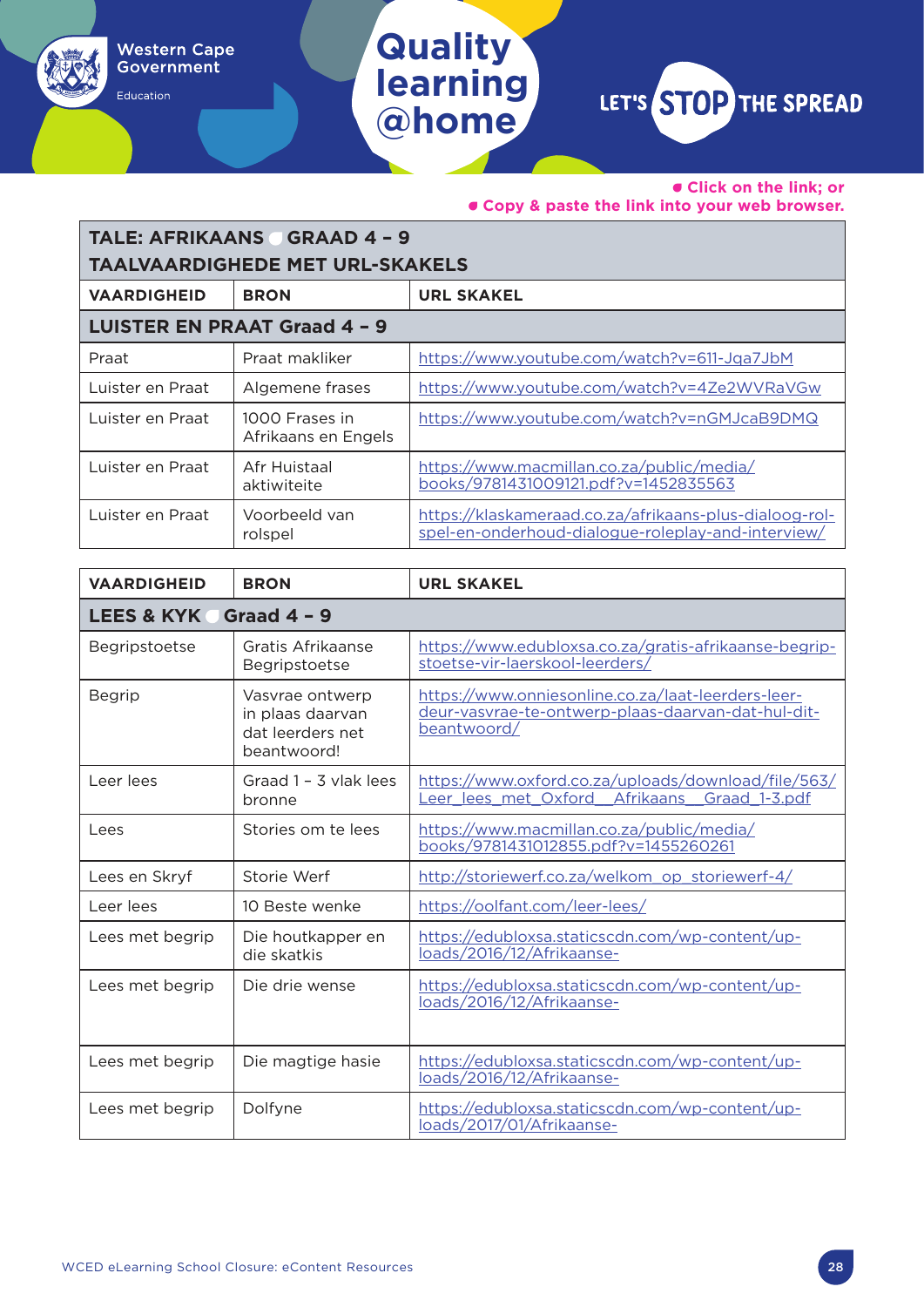Education

### **learning @home**

**Quality** 

LET'S STOP THE SPREAD

• **Click on the link; or** 

• **Copy & paste the link into your web browser.**

### **TALE: AFRIKAANS GRAAD 4 - 9 TAALVAARDIGHEDE MET URL-SKAKELS**

| <b>VAARDIGHEID</b> | <b>BRON</b>                           | <b>URL SKAKEL</b>                                                                                            |
|--------------------|---------------------------------------|--------------------------------------------------------------------------------------------------------------|
|                    | <b>LUISTER EN PRAAT Graad 4 - 9</b>   |                                                                                                              |
| Praat              | Praat makliker                        | https://www.youtube.com/watch?v=611-Jqa7JbM                                                                  |
| Luister en Praat   | Algemene frases                       | https://www.youtube.com/watch?v=4Ze2WVRaVGw                                                                  |
| Luister en Praat   | 1000 Frases in<br>Afrikaans en Engels | https://www.youtube.com/watch?v=nGMJcaB9DMQ                                                                  |
| Luister en Praat   | Afr Huistaal<br>aktiwiteite           | https://www.macmillan.co.za/public/media/<br>books/9781431009121.pdf?v=1452835563                            |
| Luister en Praat   | Voorbeeld van<br>rolspel              | https://klaskameraad.co.za/afrikaans-plus-dialoog-rol-<br>spel-en-onderhoud-dialogue-roleplay-and-interview/ |

| <b>VAARDIGHEID</b>                     | <b>BRON</b>                                                            | <b>URL SKAKEL</b>                                                                                                       |
|----------------------------------------|------------------------------------------------------------------------|-------------------------------------------------------------------------------------------------------------------------|
| <b>LEES &amp; KYK</b><br>Graad $4 - 9$ |                                                                        |                                                                                                                         |
| Begripstoetse                          | Gratis Afrikaanse<br>Begripstoetse                                     | https://www.edubloxsa.co.za/gratis-afrikaanse-begrip-<br>stoetse-vir-laerskool-leerders/                                |
| <b>Begrip</b>                          | Vasvrae ontwerp<br>in plaas daarvan<br>dat leerders net<br>beantwoord! | https://www.onniesonline.co.za/laat-leerders-leer-<br>deur-vasvrae-te-ontwerp-plaas-daarvan-dat-hul-dit-<br>beantwoord/ |
| Leer lees                              | Graad 1 - 3 vlak lees<br>bronne                                        | https://www.oxford.co.za/uploads/download/file/563/<br>Leer lees met Oxford Afrikaans<br>Graad 1-3.pdf                  |
| Lees                                   | Stories om te lees                                                     | https://www.macmillan.co.za/public/media/<br>books/9781431012855.pdf?v=1455260261                                       |
| Lees en Skryf                          | Storie Werf                                                            | http://storiewerf.co.za/welkom op storiewerf-4/                                                                         |
| Leer lees                              | 10 Beste wenke                                                         | https://oolfant.com/leer-lees/                                                                                          |
| Lees met begrip                        | Die houtkapper en<br>die skatkis                                       | https://edubloxsa.staticscdn.com/wp-content/up-<br>loads/2016/12/Afrikaanse-                                            |
| Lees met begrip                        | Die drie wense                                                         | https://edubloxsa.staticscdn.com/wp-content/up-<br>loads/2016/12/Afrikaanse-                                            |
| Lees met begrip                        | Die magtige hasie                                                      | https://edubloxsa.staticscdn.com/wp-content/up-<br>loads/2016/12/Afrikaanse-                                            |
| Lees met begrip                        | Dolfyne                                                                | https://edubloxsa.staticscdn.com/wp-content/up-<br>loads/2017/01/Afrikaanse-                                            |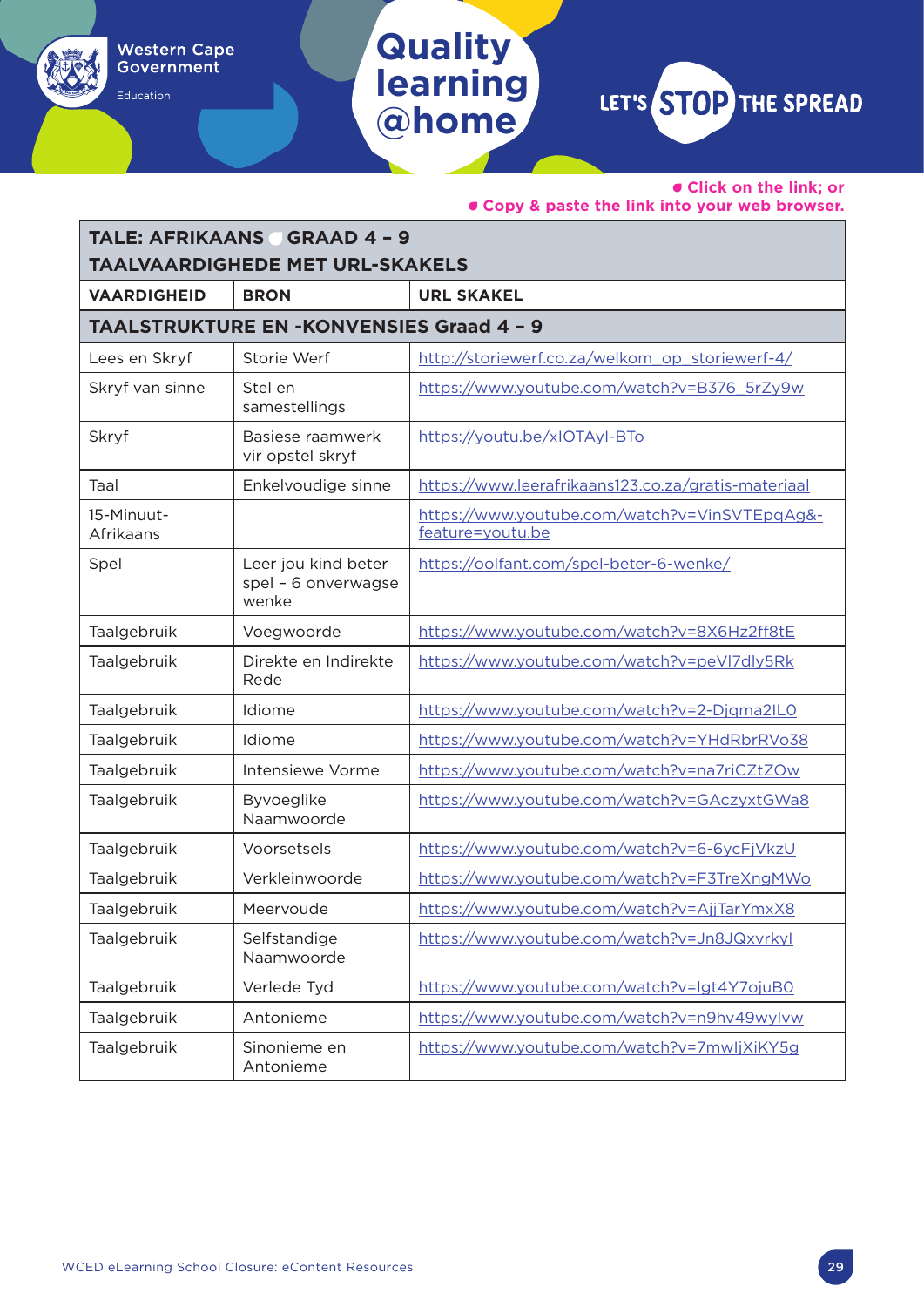• **Click on the link; or** 

• **Copy & paste the link into your web browser.**

| <b>TALE: AFRIKAANS GRAAD 4 - 9</b>     |                                                     |                                                                   |
|----------------------------------------|-----------------------------------------------------|-------------------------------------------------------------------|
| <b>TAALVAARDIGHEDE MET URL-SKAKELS</b> |                                                     |                                                                   |
| <b>VAARDIGHEID</b>                     | <b>BRON</b>                                         | <b>URL SKAKEL</b>                                                 |
|                                        | <b>TAALSTRUKTURE EN -KONVENSIES Graad 4 - 9</b>     |                                                                   |
| Lees en Skryf                          | Storie Werf                                         | http://storiewerf.co.za/welkom op storiewerf-4/                   |
| Skryf van sinne                        | Stel en<br>samestellings                            | https://www.youtube.com/watch?v=B376_5rZy9w                       |
| Skryf                                  | Basiese raamwerk<br>vir opstel skryf                | https://youtu.be/xIOTAyI-BTo                                      |
| Taal                                   | Enkelvoudige sinne                                  | https://www.leerafrikaans123.co.za/gratis-materiaal               |
| 15-Minuut-<br>Afrikaans                |                                                     | https://www.youtube.com/watch?v=VinSVTEpqAg&-<br>feature=youtu.be |
| Spel                                   | Leer jou kind beter<br>spel - 6 onverwagse<br>wenke | https://oolfant.com/spel-beter-6-wenke/                           |
| Taalgebruik                            | Voegwoorde                                          | https://www.youtube.com/watch?v=8X6Hz2ff8tE                       |
| Taalgebruik                            | Direkte en Indirekte<br>Rede                        | https://www.youtube.com/watch?v=peVI7dly5Rk                       |
| Taalgebruik                            | Idiome                                              | https://www.youtube.com/watch?v=2-Djgma2IL0                       |
| Taalgebruik                            | Idiome                                              | https://www.youtube.com/watch?v=YHdRbrRVo38                       |
| Taalgebruik                            | Intensiewe Vorme                                    | https://www.youtube.com/watch?v=na7riCZtZOw                       |
| Taalgebruik                            | Byvoeglike<br>Naamwoorde                            | https://www.youtube.com/watch?v=GAczyxtGWa8                       |
| Taalgebruik                            | Voorsetsels                                         | https://www.youtube.com/watch?v=6-6ycFjVkzU                       |
| Taalgebruik                            | Verkleinwoorde                                      | https://www.youtube.com/watch?v=F3TreXngMWo                       |
| Taalgebruik                            | Meervoude                                           | https://www.youtube.com/watch?v=AjjTarYmxX8                       |
| Taalgebruik                            | Selfstandige<br>Naamwoorde                          | https://www.youtube.com/watch?v=Jn8JQxvrkyl                       |
| Taalgebruik                            | Verlede Tyd                                         | https://www.youtube.com/watch?v=lgt4Y7ojuB0                       |
| Taalgebruik                            | Antonieme                                           | https://www.youtube.com/watch?v=n9hv49wylvw                       |
| Taalgebruik                            | Sinonieme en<br>Antonieme                           | https://www.youtube.com/watch?v=7mwljXiKY5g                       |

**Quality** 

Western Cape<br>Government

Education

**learning**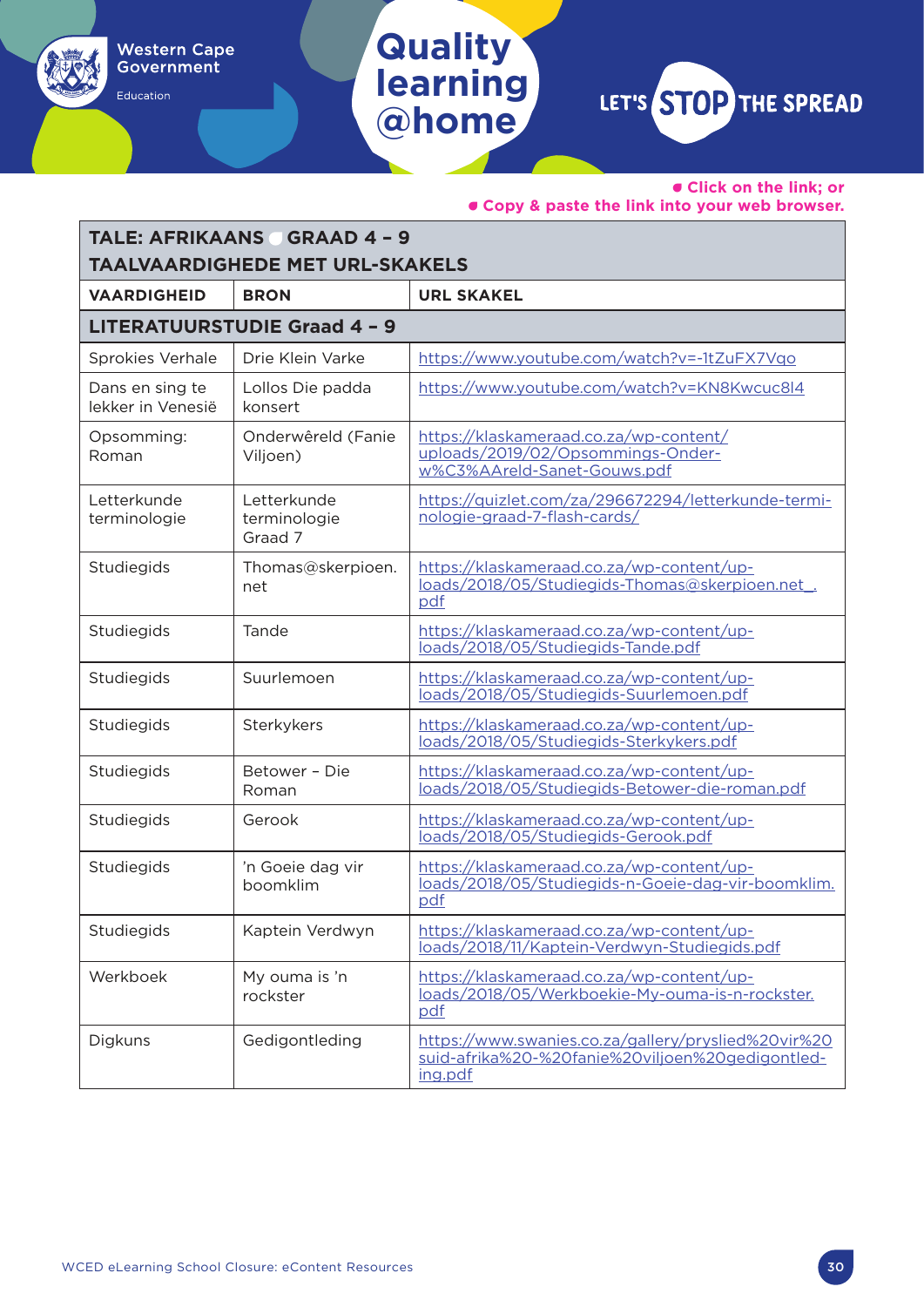• **Click on the link; or** 

• **Copy & paste the link into your web browser.**

| <b>TALE: AFRIKAANS GRAAD 4 - 9</b>     |                                        |                                                                                                                    |
|----------------------------------------|----------------------------------------|--------------------------------------------------------------------------------------------------------------------|
| <b>TAALVAARDIGHEDE MET URL-SKAKELS</b> |                                        |                                                                                                                    |
| <b>VAARDIGHEID</b>                     | <b>BRON</b>                            | <b>URL SKAKEL</b>                                                                                                  |
|                                        | <b>LITERATUURSTUDIE Graad 4 - 9</b>    |                                                                                                                    |
| Sprokies Verhale                       | Drie Klein Varke                       | https://www.youtube.com/watch?v=-1tZuFX7Vgo                                                                        |
| Dans en sing te<br>lekker in Venesië   | Lollos Die padda<br>konsert            | https://www.youtube.com/watch?v=KN8Kwcuc8l4                                                                        |
| Opsomming:<br>Roman                    | Onderwêreld (Fanie<br>Viljoen)         | https://klaskameraad.co.za/wp-content/<br>uploads/2019/02/Opsommings-Onder-<br>w%C3%AAreld-Sanet-Gouws.pdf         |
| Letterkunde<br>terminologie            | Letterkunde<br>terminologie<br>Graad 7 | https://quizlet.com/za/296672294/letterkunde-termi-<br>nologie-graad-7-flash-cards/                                |
| Studiegids                             | Thomas@skerpioen.<br>net               | https://klaskameraad.co.za/wp-content/up-<br>loads/2018/05/Studiegids-Thomas@skerpioen.net.<br>pdf                 |
| Studiegids                             | Tande                                  | https://klaskameraad.co.za/wp-content/up-<br>loads/2018/05/Studiegids-Tande.pdf                                    |
| Studiegids                             | Suurlemoen                             | https://klaskameraad.co.za/wp-content/up-<br>loads/2018/05/Studiegids-Suurlemoen.pdf                               |
| Studiegids                             | Sterkykers                             | https://klaskameraad.co.za/wp-content/up-<br>loads/2018/05/Studiegids-Sterkykers.pdf                               |
| Studiegids                             | Betower - Die<br>Roman                 | https://klaskameraad.co.za/wp-content/up-<br>loads/2018/05/Studiegids-Betower-die-roman.pdf                        |
| Studiegids                             | Gerook                                 | https://klaskameraad.co.za/wp-content/up-<br>loads/2018/05/Studiegids-Gerook.pdf                                   |
| Studiegids                             | 'n Goeie dag vir<br>boomklim           | https://klaskameraad.co.za/wp-content/up-<br>loads/2018/05/Studiegids-n-Goeie-dag-vir-boomklim.<br>pdf             |
| Studiegids                             | Kaptein Verdwyn                        | https://klaskameraad.co.za/wp-content/up-<br>loads/2018/11/Kaptein-Verdwyn-Studiegids.pdf                          |
| Werkboek                               | My ouma is 'n<br>rockster              | https://klaskameraad.co.za/wp-content/up-<br>loads/2018/05/Werkboekie-My-ouma-is-n-rockster.<br>pdf                |
| Digkuns                                | Gedigontleding                         | https://www.swanies.co.za/gallery/pryslied%20vir%20<br>suid-afrika%20-%20fanie%20viljoen%20gedigontled-<br>ing.pdf |

**Quality** 

Western Cape<br>Government

Education

**learning**